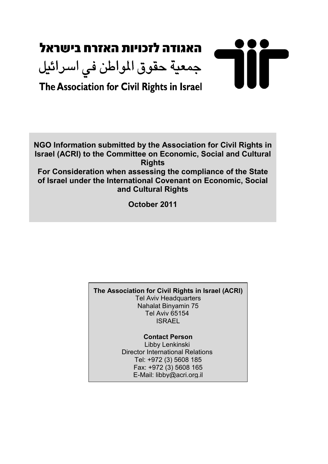# האגודה לזכויות האזרח בישראל 711 جمعية حقوق المواطن في اسرائيل The Association for Civil Rights in Israel

NGO Information submitted by the Association for Civil Rights in Israel (ACRI) to the Committee on Economic, Social and Cultural **Rights** 

For Consideration when assessing the compliance of the State of Israel under the International Covenant on Economic, Social and Cultural Rights

October 2011

The Association for Civil Rights in Israel (ACRI) Tel Aviv Headquarters Nahalat Binyamin 75 Tel Aviv 65154 ISRAEL

> Contact Person Libby Lenkinski Director International Relations Tel: +972 (3) 5608 185 Fax: +972 (3) 5608 165 E-Mail: libby@acri.org.il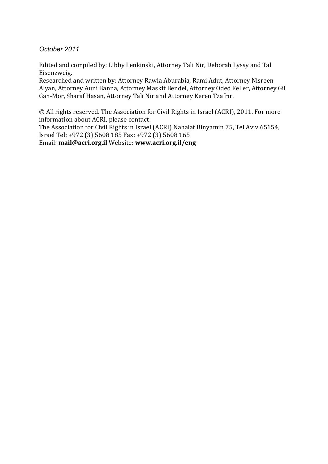October 2011

Edited and compiled by: Libby Lenkinski, Attorney Tali Nir, Deborah Lyssy and Tal Eisenzweig.

Researched and written by: Attorney Rawia Aburabia, Rami Adut, Attorney Nisreen Alyan, Attorney Auni Banna, Attorney Maskit Bendel, Attorney Oded Feller, Attorney Gil Gan-Mor, Sharaf Hasan, Attorney Tali Nir and Attorney Keren Tzafrir.

© All rights reserved. The Association for Civil Rights in Israel (ACRI), 2011. For more information about ACRI, please contact:

The Association for Civil Rights in Israel (ACRI) Nahalat Binyamin 75, Tel Aviv 65154, Israel Tel: +972 (3) 5608 185 Fax: +972 (3) 5608 165

Email: mail@acri.org.il Website: www.acri.org.il/eng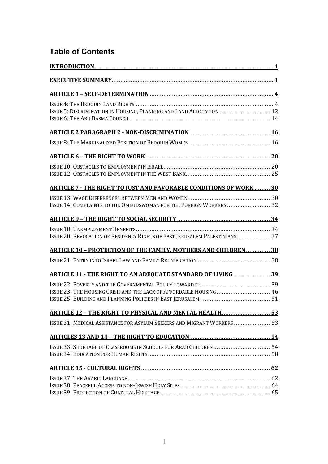# Table of Contents

| ISSUE 5: DISCRIMINATION IN HOUSING, PLANNING AND LAND ALLOCATION  12        |  |
|-----------------------------------------------------------------------------|--|
|                                                                             |  |
|                                                                             |  |
|                                                                             |  |
|                                                                             |  |
| <b>ARTICLE 7 - THE RIGHT TO JUST AND FAVORABLE CONDITIONS OF WORK  30</b>   |  |
| ISSUE 14: COMPLAINTS TO THE OMBUDSWOMAN FOR THE FOREIGN WORKERS  32         |  |
|                                                                             |  |
| ISSUE 20: REVOCATION OF RESIDENCY RIGHTS OF EAST JERUSALEM PALESTINIANS  37 |  |
| <b>ARTICLE 10 - PROTECTION OF THE FAMILY, MOTHERS AND CHILDREN 38</b>       |  |
|                                                                             |  |
| <b>ARTICLE 11 - THE RIGHT TO AN ADEQUATE STANDARD OF LIVING  39</b>         |  |
|                                                                             |  |
| ISSUE 23: THE HOUSING CRISIS AND THE LACK OF AFFORDABLE HOUSING  46         |  |
| <b>ARTICLE 12 - THE RIGHT TO PHYSICAL AND MENTAL HEALTH 53</b>              |  |
| ISSUE 31: MEDICAL ASSISTANCE FOR ASYLUM SEEKERS AND MIGRANT WORKERS 53      |  |
|                                                                             |  |
|                                                                             |  |
|                                                                             |  |
|                                                                             |  |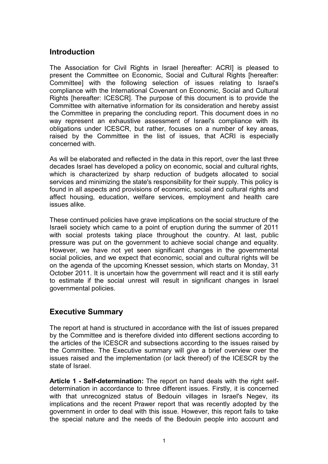# **Introduction**

The Association for Civil Rights in Israel [hereafter: ACRI] is pleased to present the Committee on Economic, Social and Cultural Rights [hereafter: Committee] with the following selection of issues relating to Israel's compliance with the International Covenant on Economic, Social and Cultural Rights [hereafter: ICESCR]. The purpose of this document is to provide the Committee with alternative information for its consideration and hereby assist the Committee in preparing the concluding report. This document does in no way represent an exhaustive assessment of Israel's compliance with its obligations under ICESCR, but rather, focuses on a number of key areas, raised by the Committee in the list of issues, that ACRI is especially concerned with.

As will be elaborated and reflected in the data in this report, over the last three decades Israel has developed a policy on economic, social and cultural rights, which is characterized by sharp reduction of budgets allocated to social services and minimizing the state's responsibility for their supply. This policy is found in all aspects and provisions of economic, social and cultural rights and affect housing, education, welfare services, employment and health care issues alike.

These continued policies have grave implications on the social structure of the Israeli society which came to a point of eruption during the summer of 2011 with social protests taking place throughout the country. At last, public pressure was put on the government to achieve social change and equality. However, we have not yet seen significant changes in the governmental social policies, and we expect that economic, social and cultural rights will be on the agenda of the upcoming Knesset session, which starts on Monday, 31 October 2011. It is uncertain how the government will react and it is still early to estimate if the social unrest will result in significant changes in Israel governmental policies.

# Executive Summary

The report at hand is structured in accordance with the list of issues prepared by the Committee and is therefore divided into different sections according to the articles of the ICESCR and subsections according to the issues raised by the Committee. The Executive summary will give a brief overview over the issues raised and the implementation (or lack thereof) of the ICESCR by the state of Israel.

Article 1 - Self-determination: The report on hand deals with the right selfdetermination in accordance to three different issues. Firstly, it is concerned with that unrecognized status of Bedouin villages in Israel's Negev, its implications and the recent Prawer report that was recently adopted by the government in order to deal with this issue. However, this report fails to take the special nature and the needs of the Bedouin people into account and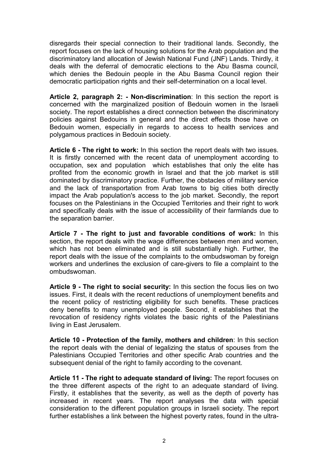disregards their special connection to their traditional lands. Secondly, the report focuses on the lack of housing solutions for the Arab population and the discriminatory land allocation of Jewish National Fund (JNF) Lands. Thirdly, it deals with the deferral of democratic elections to the Abu Basma council, which denies the Bedouin people in the Abu Basma Council region their democratic participation rights and their self-determination on a local level.

Article 2, paragraph 2: - Non-discrimination: In this section the report is concerned with the marginalized position of Bedouin women in the Israeli society. The report establishes a direct connection between the discriminatory policies against Bedouins in general and the direct effects those have on Bedouin women, especially in regards to access to health services and polygamous practices in Bedouin society.

Article 6 - The right to work: In this section the report deals with two issues. It is firstly concerned with the recent data of unemployment according to occupation, sex and population which establishes that only the elite has profited from the economic growth in Israel and that the job market is still dominated by discriminatory practice. Further, the obstacles of military service and the lack of transportation from Arab towns to big cities both directly impact the Arab population's access to the job market. Secondly, the report focuses on the Palestinians in the Occupied Territories and their right to work and specifically deals with the issue of accessibility of their farmlands due to the separation barrier.

Article 7 - The right to just and favorable conditions of work: In this section, the report deals with the wage differences between men and women, which has not been eliminated and is still substantially high. Further, the report deals with the issue of the complaints to the ombudswoman by foreign workers and underlines the exclusion of care-givers to file a complaint to the ombudswoman.

Article 9 - The right to social security: In this section the focus lies on two issues. First, it deals with the recent reductions of unemployment benefits and the recent policy of restricting eligibility for such benefits. These practices deny benefits to many unemployed people. Second, it establishes that the revocation of residency rights violates the basic rights of the Palestinians living in East Jerusalem.

Article 10 - Protection of the family, mothers and children: In this section the report deals with the denial of legalizing the status of spouses from the Palestinians Occupied Territories and other specific Arab countries and the subsequent denial of the right to family according to the covenant.

Article 11 - The right to adequate standard of living: The report focuses on the three different aspects of the right to an adequate standard of living. Firstly, it establishes that the severity, as well as the depth of poverty has increased in recent years. The report analyses the data with special consideration to the different population groups in Israeli society. The report further establishes a link between the highest poverty rates, found in the ultra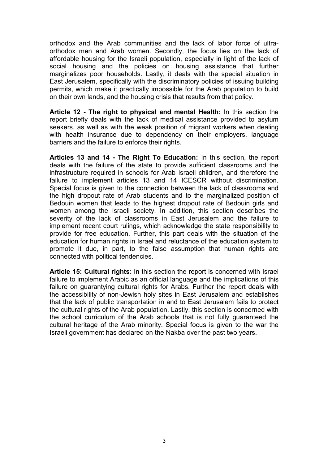orthodox and the Arab communities and the lack of labor force of ultraorthodox men and Arab women. Secondly, the focus lies on the lack of affordable housing for the Israeli population, especially in light of the lack of social housing and the policies on housing assistance that further marginalizes poor households. Lastly, it deals with the special situation in East Jerusalem, specifically with the discriminatory policies of issuing building permits, which make it practically impossible for the Arab population to build on their own lands, and the housing crisis that results from that policy.

Article 12 - The right to physical and mental Health: In this section the report briefly deals with the lack of medical assistance provided to asylum seekers, as well as with the weak position of migrant workers when dealing with health insurance due to dependency on their employers, language barriers and the failure to enforce their rights.

Articles 13 and 14 - The Right To Education: In this section, the report deals with the failure of the state to provide sufficient classrooms and the infrastructure required in schools for Arab Israeli children, and therefore the failure to implement articles 13 and 14 ICESCR without discrimination. Special focus is given to the connection between the lack of classrooms and the high dropout rate of Arab students and to the marginalized position of Bedouin women that leads to the highest dropout rate of Bedouin girls and women among the Israeli society. In addition, this section describes the severity of the lack of classrooms in East Jerusalem and the failure to implement recent court rulings, which acknowledge the state responsibility to provide for free education. Further, this part deals with the situation of the education for human rights in Israel and reluctance of the education system to promote it due, in part, to the false assumption that human rights are connected with political tendencies.

Article 15: Cultural rights: In this section the report is concerned with Israel failure to implement Arabic as an official language and the implications of this failure on guarantying cultural rights for Arabs. Further the report deals with the accessibility of non-Jewish holy sites in East Jerusalem and establishes that the lack of public transportation in and to East Jerusalem fails to protect the cultural rights of the Arab population. Lastly, this section is concerned with the school curriculum of the Arab schools that is not fully guaranteed the cultural heritage of the Arab minority. Special focus is given to the war the Israeli government has declared on the Nakba over the past two years.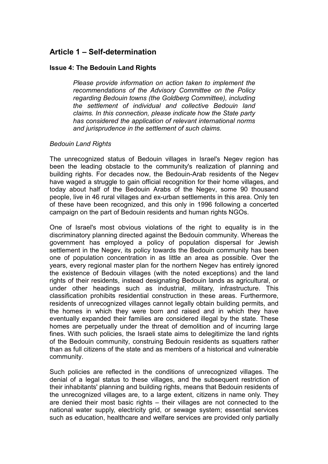# Article 1 – Self-determination

# Issue 4: The Bedouin Land Rights

Please provide information on action taken to implement the recommendations of the Advisory Committee on the Policy regarding Bedouin towns (the Goldberg Committee), including the settlement of individual and collective Bedouin land claims. In this connection, please indicate how the State party has considered the application of relevant international norms and jurisprudence in the settlement of such claims.

#### Bedouin Land Rights

The unrecognized status of Bedouin villages in Israel's Negev region has been the leading obstacle to the community's realization of planning and building rights. For decades now, the Bedouin-Arab residents of the Negev have waged a struggle to gain official recognition for their home villages, and today about half of the Bedouin Arabs of the Negev, some 90 thousand people, live in 46 rural villages and ex-urban settlements in this area. Only ten of these have been recognized, and this only in 1996 following a concerted campaign on the part of Bedouin residents and human rights NGOs.

One of Israel's most obvious violations of the right to equality is in the discriminatory planning directed against the Bedouin community. Whereas the government has employed a policy of population dispersal for Jewish settlement in the Negev, its policy towards the Bedouin community has been one of population concentration in as little an area as possible. Over the years, every regional master plan for the northern Negev has entirely ignored the existence of Bedouin villages (with the noted exceptions) and the land rights of their residents, instead designating Bedouin lands as agricultural, or under other headings such as industrial, military, infrastructure. This classification prohibits residential construction in these areas. Furthermore, residents of unrecognized villages cannot legally obtain building permits, and the homes in which they were born and raised and in which they have eventually expanded their families are considered illegal by the state. These homes are perpetually under the threat of demolition and of incurring large fines. With such policies, the Israeli state aims to delegitimize the land rights of the Bedouin community, construing Bedouin residents as squatters rather than as full citizens of the state and as members of a historical and vulnerable community.

Such policies are reflected in the conditions of unrecognized villages. The denial of a legal status to these villages, and the subsequent restriction of their inhabitants' planning and building rights, means that Bedouin residents of the unrecognized villages are, to a large extent, citizens in name only. They are denied their most basic rights – their villages are not connected to the national water supply, electricity grid, or sewage system; essential services such as education, healthcare and welfare services are provided only partially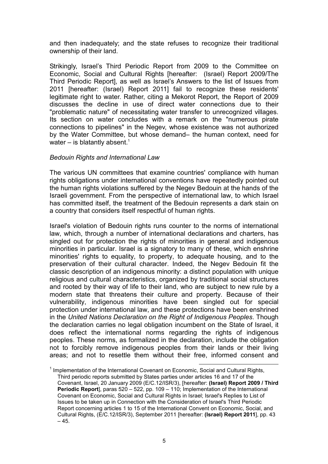and then inadequately; and the state refuses to recognize their traditional ownership of their land.

Strikingly, Israel's Third Periodic Report from 2009 to the Committee on Economic, Social and Cultural Rights [hereafter: (Israel) Report 2009/The Third Periodic Report], as well as Israel's Answers to the list of Issues from 2011 [hereafter: (Israel) Report 2011] fail to recognize these residents' legitimate right to water. Rather, citing a Mekorot Report, the Report of 2009 discusses the decline in use of direct water connections due to their "problematic nature" of necessitating water transfer to unrecognized villages. Its section on water concludes with a remark on the "numerous pirate connections to pipelines" in the Negev, whose existence was not authorized by the Water Committee, but whose demand– the human context, need for water – is blatantly absent.<sup>1</sup>

#### Bedouin Rights and International Law

The various UN committees that examine countries' compliance with human rights obligations under international conventions have repeatedly pointed out the human rights violations suffered by the Negev Bedouin at the hands of the Israeli government. From the perspective of international law, to which Israel has committed itself, the treatment of the Bedouin represents a dark stain on a country that considers itself respectful of human rights.

Israel's violation of Bedouin rights runs counter to the norms of international law, which, through a number of international declarations and charters, has singled out for protection the rights of minorities in general and indigenous minorities in particular. Israel is a signatory to many of these, which enshrine minorities' rights to equality, to property, to adequate housing, and to the preservation of their cultural character. Indeed, the Negev Bedouin fit the classic description of an indigenous minority: a distinct population with unique religious and cultural characteristics, organized by traditional social structures and rooted by their way of life to their land, who are subject to new rule by a modern state that threatens their culture and property. Because of their vulnerability, indigenous minorities have been singled out for special protection under international law, and these protections have been enshrined in the United Nations Declaration on the Right of Indigenous Peoples. Though the declaration carries no legal obligation incumbent on the State of Israel, it does reflect the international norms regarding the rights of indigenous peoples. These norms, as formalized in the declaration, include the obligation not to forcibly remove indigenous peoples from their lands or their living areas; and not to resettle them without their free, informed consent and

l <sup>1</sup> Implementation of the International Covenant on Economic, Social and Cultural Rights, Third periodic reports submitted by States parties under articles 16 and 17 of the Covenant, Israel, 20 January 2009 (E/C.12/ISR/3), [hereafter: (Israel) Report 2009 / Third Periodic Report], paras 520 – 522, pp. 109 – 110; Implementation of the International Covenant on Economic, Social and Cultural Rights in Israel; Israel's Replies to List of Issues to be taken up in Connection with the Consideration of Israel's Third Periodic Report concerning articles 1 to 15 of the International Convent on Economic, Social, and Cultural Rights, (E/C.12/ISR/3), September 2011 [hereafter: (Israel) Report 2011], pp. 43  $-45.$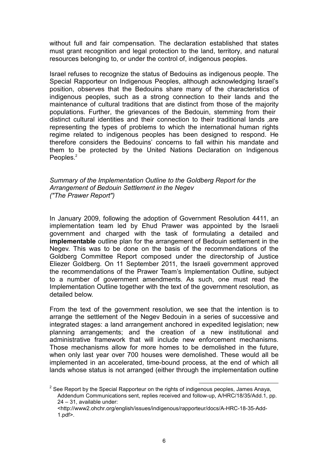without full and fair compensation. The declaration established that states must grant recognition and legal protection to the land, territory, and natural resources belonging to, or under the control of, indigenous peoples.

Israel refuses to recognize the status of Bedouins as indigenous people. The Special Rapporteur on Indigenous Peoples, although acknowledging Israel's position, observes that the Bedouins share many of the characteristics of indigenous peoples, such as a strong connection to their lands and the maintenance of cultural traditions that are distinct from those of the majority populations. Further, the grievances of the Bedouin, stemming from their distinct cultural identities and their connection to their traditional lands ,are representing the types of problems to which the international human rights regime related to indigenous peoples has been designed to respond. He therefore considers the Bedouins' concerns to fall within his mandate and them to be protected by the United Nations Declaration on Indigenous Peoples.<sup>2</sup>

Summary of the Implementation Outline to the Goldberg Report for the Arrangement of Bedouin Settlement in the Negev ("The Prawer Report")

In January 2009, following the adoption of Government Resolution 4411, an implementation team led by Ehud Prawer was appointed by the Israeli government and charged with the task of formulating a detailed and implementable outline plan for the arrangement of Bedouin settlement in the Negev. This was to be done on the basis of the recommendations of the Goldberg Committee Report composed under the directorship of Justice Eliezer Goldberg. On 11 September 2011, the Israeli government approved the recommendations of the Prawer Team's Implementation Outline, subject to a number of government amendments. As such, one must read the Implementation Outline together with the text of the government resolution, as detailed below.

From the text of the government resolution, we see that the intention is to arrange the settlement of the Negev Bedouin in a series of successive and integrated stages: a land arrangement anchored in expedited legislation; new planning arrangements; and the creation of a new institutional and administrative framework that will include new enforcement mechanisms. Those mechanisms allow for more homes to be demolished in the future, when only last year over 700 houses were demolished. These would all be implemented in an accelerated, time-bound process, at the end of which all lands whose status is not arranged (either through the implementation outline

<sup>&</sup>lt;sup>2</sup> See Report by the Special Rapporteur on the rights of indigenous peoples, James Anaya, Addendum Communications sent, replies received and follow-up, A/HRC/18/35/Add.1, pp. 24 – 31, available under:

<sup>&</sup>lt;http://www2.ohchr.org/english/issues/indigenous/rapporteur/docs/A-HRC-18-35-Add-1.pdf>.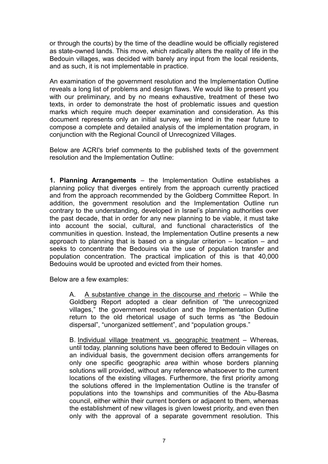or through the courts) by the time of the deadline would be officially registered as state-owned lands. This move, which radically alters the reality of life in the Bedouin villages, was decided with barely any input from the local residents, and as such, it is not implementable in practice.

An examination of the government resolution and the Implementation Outline reveals a long list of problems and design flaws. We would like to present you with our preliminary, and by no means exhaustive, treatment of these two texts, in order to demonstrate the host of problematic issues and question marks which require much deeper examination and consideration. As this document represents only an initial survey, we intend in the near future to compose a complete and detailed analysis of the implementation program, in conjunction with the Regional Council of Unrecognized Villages.

Below are ACRI's brief comments to the published texts of the government resolution and the Implementation Outline:

1. Planning Arrangements – the Implementation Outline establishes a planning policy that diverges entirely from the approach currently practiced and from the approach recommended by the Goldberg Committee Report. In addition, the government resolution and the Implementation Outline run contrary to the understanding, developed in Israel's planning authorities over the past decade, that in order for any new planning to be viable, it must take into account the social, cultural, and functional characteristics of the communities in question. Instead, the Implementation Outline presents a new approach to planning that is based on a singular criterion – location – and seeks to concentrate the Bedouins via the use of population transfer and population concentration. The practical implication of this is that 40,000 Bedouins would be uprooted and evicted from their homes.

Below are a few examples:

A. A substantive change in the discourse and rhetoric – While the Goldberg Report adopted a clear definition of "the unrecognized villages," the government resolution and the Implementation Outline return to the old rhetorical usage of such terms as "the Bedouin dispersal", "unorganized settlement", and "population groups."

B. Individual village treatment vs. geographic treatment – Whereas, until today, planning solutions have been offered to Bedouin villages on an individual basis, the government decision offers arrangements for only one specific geographic area within whose borders planning solutions will provided, without any reference whatsoever to the current locations of the existing villages. Furthermore, the first priority among the solutions offered in the Implementation Outline is the transfer of populations into the townships and communities of the Abu-Basma council, either within their current borders or adjacent to them, whereas the establishment of new villages is given lowest priority, and even then only with the approval of a separate government resolution. This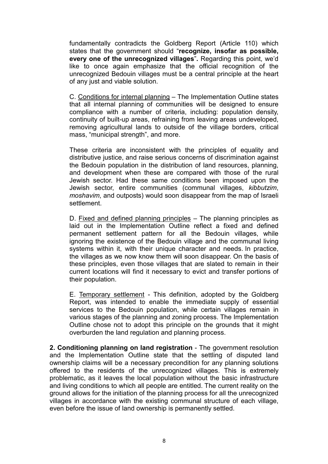fundamentally contradicts the Goldberg Report (Article 110) which states that the government should "recognize, insofar as possible, every one of the unrecognized villages". Regarding this point, we'd like to once again emphasize that the official recognition of the unrecognized Bedouin villages must be a central principle at the heart of any just and viable solution.

C. Conditions for internal planning – The Implementation Outline states that all internal planning of communities will be designed to ensure compliance with a number of criteria, including: population density, continuity of built-up areas, refraining from leaving areas undeveloped, removing agricultural lands to outside of the village borders, critical mass, "municipal strength", and more.

These criteria are inconsistent with the principles of equality and distributive justice, and raise serious concerns of discrimination against the Bedouin population in the distribution of land resources, planning, and development when these are compared with those of the rural Jewish sector. Had these same conditions been imposed upon the Jewish sector, entire communities (communal villages, kibbutzim, moshavim, and outposts) would soon disappear from the map of Israeli settlement.

D. Fixed and defined planning principles – The planning principles as laid out in the Implementation Outline reflect a fixed and defined permanent settlement pattern for all the Bedouin villages, while ignoring the existence of the Bedouin village and the communal living systems within it, with their unique character and needs. In practice, the villages as we now know them will soon disappear. On the basis of these principles, even those villages that are slated to remain in their current locations will find it necessary to evict and transfer portions of their population.

E. Temporary settlement - This definition, adopted by the Goldberg Report, was intended to enable the immediate supply of essential services to the Bedouin population, while certain villages remain in various stages of the planning and zoning process. The Implementation Outline chose not to adopt this principle on the grounds that it might overburden the land regulation and planning process.

2. Conditioning planning on land registration - The government resolution and the Implementation Outline state that the settling of disputed land ownership claims will be a necessary precondition for any planning solutions offered to the residents of the unrecognized villages. This is extremely problematic, as it leaves the local population without the basic infrastructure and living conditions to which all people are entitled. The current reality on the ground allows for the initiation of the planning process for all the unrecognized villages in accordance with the existing communal structure of each village, even before the issue of land ownership is permanently settled.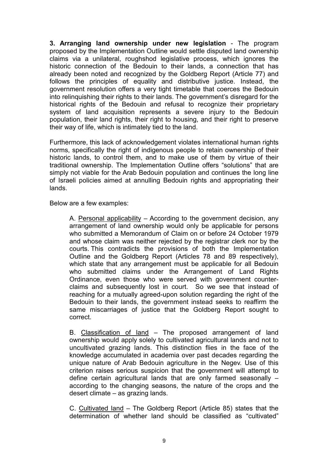3. Arranging land ownership under new legislation - The program proposed by the Implementation Outline would settle disputed land ownership claims via a unilateral, roughshod legislative process, which ignores the historic connection of the Bedouin to their lands, a connection that has already been noted and recognized by the Goldberg Report (Article 77) and follows the principles of equality and distributive justice. Instead, the government resolution offers a very tight timetable that coerces the Bedouin into relinquishing their rights to their lands. The government's disregard for the historical rights of the Bedouin and refusal to recognize their proprietary system of land acquisition represents a severe injury to the Bedouin population, their land rights, their right to housing, and their right to preserve their way of life, which is intimately tied to the land.

Furthermore, this lack of acknowledgement violates international human rights norms, specifically the right of indigenous people to retain ownership of their historic lands, to control them, and to make use of them by virtue of their traditional ownership. The Implementation Outline offers "solutions" that are simply not viable for the Arab Bedouin population and continues the long line of Israeli policies aimed at annulling Bedouin rights and appropriating their lands.

Below are a few examples:

A. Personal applicability – According to the government decision, any arrangement of land ownership would only be applicable for persons who submitted a Memorandum of Claim on or before 24 October 1979 and whose claim was neither rejected by the registrar clerk nor by the courts. This contradicts the provisions of both the Implementation Outline and the Goldberg Report (Articles 78 and 89 respectively), which state that any arrangement must be applicable for all Bedouin who submitted claims under the Arrangement of Land Rights Ordinance, even those who were served with government counterclaims and subsequently lost in court. So we see that instead of reaching for a mutually agreed-upon solution regarding the right of the Bedouin to their lands, the government instead seeks to reaffirm the same miscarriages of justice that the Goldberg Report sought to correct.

B. Classification of land – The proposed arrangement of land ownership would apply solely to cultivated agricultural lands and not to uncultivated grazing lands. This distinction flies in the face of the knowledge accumulated in academia over past decades regarding the unique nature of Arab Bedouin agriculture in the Negev. Use of this criterion raises serious suspicion that the government will attempt to define certain agricultural lands that are only farmed seasonally – according to the changing seasons, the nature of the crops and the desert climate – as grazing lands.

C. Cultivated land – The Goldberg Report (Article 85) states that the determination of whether land should be classified as "cultivated"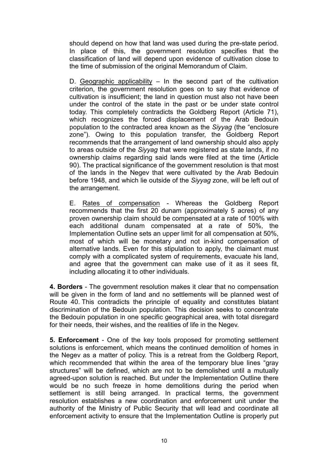should depend on how that land was used during the pre-state period. In place of this, the government resolution specifies that the classification of land will depend upon evidence of cultivation close to the time of submission of the original Memorandum of Claim.

D. Geographic applicability – In the second part of the cultivation criterion, the government resolution goes on to say that evidence of cultivation is insufficient; the land in question must also not have been under the control of the state in the past or be under state control today. This completely contradicts the Goldberg Report (Article 71), which recognizes the forced displacement of the Arab Bedouin population to the contracted area known as the Siyyag (the "enclosure zone"). Owing to this population transfer, the Goldberg Report recommends that the arrangement of land ownership should also apply to areas outside of the Siyyag that were registered as state lands, if no ownership claims regarding said lands were filed at the time (Article 90). The practical significance of the government resolution is that most of the lands in the Negev that were cultivated by the Arab Bedouin before 1948, and which lie outside of the Siyyag zone, will be left out of the arrangement.

E. Rates of compensation - Whereas the Goldberg Report recommends that the first 20 dunam (approximately 5 acres) of any proven ownership claim should be compensated at a rate of 100% with each additional dunam compensated at a rate of 50%, the Implementation Outline sets an upper limit for all compensation at 50%, most of which will be monetary and not in-kind compensation of alternative lands. Even for this stipulation to apply, the claimant must comply with a complicated system of requirements, evacuate his land, and agree that the government can make use of it as it sees fit, including allocating it to other individuals.

4. Borders - The government resolution makes it clear that no compensation will be given in the form of land and no settlements will be planned west of Route 40. This contradicts the principle of equality and constitutes blatant discrimination of the Bedouin population. This decision seeks to concentrate the Bedouin population in one specific geographical area, with total disregard for their needs, their wishes, and the realities of life in the Negev.

5. Enforcement - One of the key tools proposed for promoting settlement solutions is enforcement, which means the continued demolition of homes in the Negev as a matter of policy. This is a retreat from the Goldberg Report, which recommended that within the area of the temporary blue lines "gray" structures" will be defined, which are not to be demolished until a mutually agreed-upon solution is reached. But under the Implementation Outline there would be no such freeze in home demolitions during the period when settlement is still being arranged. In practical terms, the government resolution establishes a new coordination and enforcement unit under the authority of the Ministry of Public Security that will lead and coordinate all enforcement activity to ensure that the Implementation Outline is properly put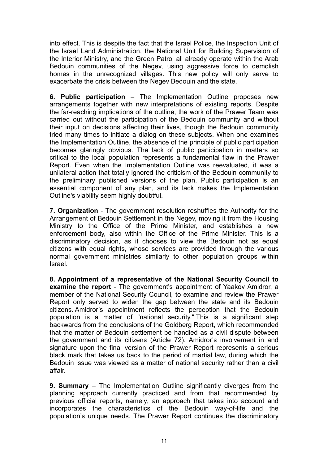into effect. This is despite the fact that the Israel Police, the Inspection Unit of the Israel Land Administration, the National Unit for Building Supervision of the Interior Ministry, and the Green Patrol all already operate within the Arab Bedouin communities of the Negev, using aggressive force to demolish homes in the unrecognized villages. This new policy will only serve to exacerbate the crisis between the Negev Bedouin and the state.

6. Public participation – The Implementation Outline proposes new arrangements together with new interpretations of existing reports. Despite the far-reaching implications of the outline, the work of the Prawer Team was carried out without the participation of the Bedouin community and without their input on decisions affecting their lives, though the Bedouin community tried many times to initiate a dialog on these subjects. When one examines the Implementation Outline, the absence of the principle of public participation becomes glaringly obvious. The lack of public participation in matters so critical to the local population represents a fundamental flaw in the Prawer Report. Even when the Implementation Outline was reevaluated, it was a unilateral action that totally ignored the criticism of the Bedouin community to the preliminary published versions of the plan. Public participation is an essential component of any plan, and its lack makes the Implementation Outline's viability seem highly doubtful.

7. Organization - The government resolution reshuffles the Authority for the Arrangement of Bedouin Settlement in the Negev, moving it from the Housing Ministry to the Office of the Prime Minister, and establishes a new enforcement body, also within the Office of the Prime Minister. This is a discriminatory decision, as it chooses to view the Bedouin not as equal citizens with equal rights, whose services are provided through the various normal government ministries similarly to other population groups within Israel.

8. Appointment of a representative of the National Security Council to examine the report - The government's appointment of Yaakov Amidror, a member of the National Security Council, to examine and review the Prawer Report only served to widen the gap between the state and its Bedouin citizens. Amidror's appointment reflects the perception that the Bedouin population is a matter of "national security." This is a significant step backwards from the conclusions of the Goldberg Report, which recommended that the matter of Bedouin settlement be handled as a civil dispute between the government and its citizens (Article 72). Amidror's involvement in and signature upon the final version of the Prawer Report represents a serious black mark that takes us back to the period of martial law, during which the Bedouin issue was viewed as a matter of national security rather than a civil affair.

9. Summary – The Implementation Outline significantly diverges from the planning approach currently practiced and from that recommended by previous official reports, namely, an approach that takes into account and incorporates the characteristics of the Bedouin way-of-life and the population's unique needs. The Prawer Report continues the discriminatory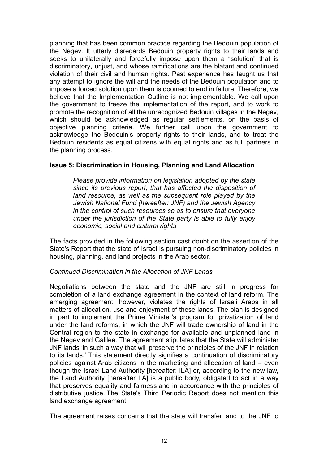planning that has been common practice regarding the Bedouin population of the Negev. It utterly disregards Bedouin property rights to their lands and seeks to unilaterally and forcefully impose upon them a "solution" that is discriminatory, unjust, and whose ramifications are the blatant and continued violation of their civil and human rights. Past experience has taught us that any attempt to ignore the will and the needs of the Bedouin population and to impose a forced solution upon them is doomed to end in failure. Therefore, we believe that the Implementation Outline is not implementable. We call upon the government to freeze the implementation of the report, and to work to promote the recognition of all the unrecognized Bedouin villages in the Negev, which should be acknowledged as regular settlements, on the basis of objective planning criteria. We further call upon the government to acknowledge the Bedouin's property rights to their lands, and to treat the Bedouin residents as equal citizens with equal rights and as full partners in the planning process.

# Issue 5: Discrimination in Housing, Planning and Land Allocation

Please provide information on legislation adopted by the state since its previous report, that has affected the disposition of land resource, as well as the subsequent role played by the Jewish National Fund (hereafter: JNF) and the Jewish Agency in the control of such resources so as to ensure that everyone under the jurisdiction of the State party is able to fully enjoy economic, social and cultural rights

The facts provided in the following section cast doubt on the assertion of the State's Report that the state of Israel is pursuing non-discriminatory policies in housing, planning, and land projects in the Arab sector.

# Continued Discrimination in the Allocation of JNF Lands

Negotiations between the state and the JNF are still in progress for completion of a land exchange agreement in the context of land reform. The emerging agreement, however, violates the rights of Israeli Arabs in all matters of allocation, use and enjoyment of these lands. The plan is designed in part to implement the Prime Minister's program for privatization of land under the land reforms, in which the JNF will trade ownership of land in the Central region to the state in exchange for available and unplanned land in the Negev and Galilee. The agreement stipulates that the State will administer JNF lands 'in such a way that will preserve the principles of the JNF in relation to its lands.' This statement directly signifies a continuation of discriminatory policies against Arab citizens in the marketing and allocation of land – even though the Israel Land Authority [hereafter: ILA] or, according to the new law, the Land Authority [hereafter LA] is a public body, obligated to act in a way that preserves equality and fairness and in accordance with the principles of distributive justice. The State's Third Periodic Report does not mention this land exchange agreement.

The agreement raises concerns that the state will transfer land to the JNF to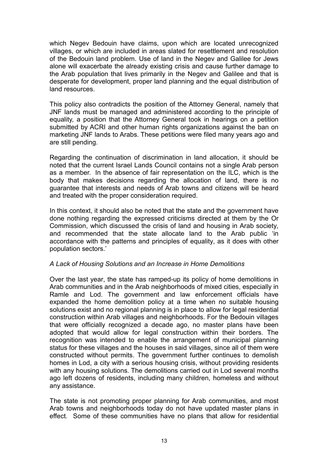which Negev Bedouin have claims, upon which are located unrecognized villages, or which are included in areas slated for resettlement and resolution of the Bedouin land problem. Use of land in the Negev and Galilee for Jews alone will exacerbate the already existing crisis and cause further damage to the Arab population that lives primarily in the Negev and Galilee and that is desperate for development, proper land planning and the equal distribution of land resources.

This policy also contradicts the position of the Attorney General, namely that JNF lands must be managed and administered according to the principle of equality, a position that the Attorney General took in hearings on a petition submitted by ACRI and other human rights organizations against the ban on marketing JNF lands to Arabs. These petitions were filed many years ago and are still pending.

Regarding the continuation of discrimination in land allocation, it should be noted that the current Israel Lands Council contains not a single Arab person as a member. In the absence of fair representation on the ILC, which is the body that makes decisions regarding the allocation of land, there is no guarantee that interests and needs of Arab towns and citizens will be heard and treated with the proper consideration required.

In this context, it should also be noted that the state and the government have done nothing regarding the expressed criticisms directed at them by the Or Commission, which discussed the crisis of land and housing in Arab society, and recommended that the state allocate land to the Arab public 'in accordance with the patterns and principles of equality, as it does with other population sectors.'

# A Lack of Housing Solutions and an Increase in Home Demolitions

Over the last year, the state has ramped-up its policy of home demolitions in Arab communities and in the Arab neighborhoods of mixed cities, especially in Ramle and Lod. The government and law enforcement officials have expanded the home demolition policy at a time when no suitable housing solutions exist and no regional planning is in place to allow for legal residential construction within Arab villages and neighborhoods. For the Bedouin villages that were officially recognized a decade ago, no master plans have been adopted that would allow for legal construction within their borders. The recognition was intended to enable the arrangement of municipal planning status for these villages and the houses in said villages, since all of them were constructed without permits. The government further continues to demolish homes in Lod, a city with a serious housing crisis, without providing residents with any housing solutions. The demolitions carried out in Lod several months ago left dozens of residents, including many children, homeless and without any assistance.

The state is not promoting proper planning for Arab communities, and most Arab towns and neighborhoods today do not have updated master plans in effect. Some of these communities have no plans that allow for residential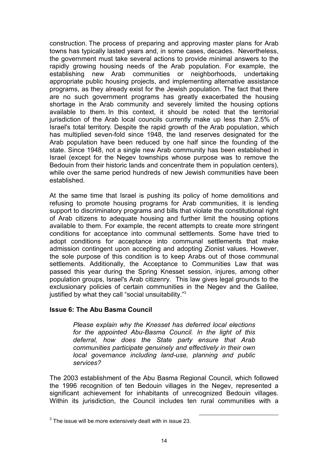construction. The process of preparing and approving master plans for Arab towns has typically lasted years and, in some cases, decades. Nevertheless, the government must take several actions to provide minimal answers to the rapidly growing housing needs of the Arab population. For example, the establishing new Arab communities or neighborhoods, undertaking appropriate public housing projects, and implementing alternative assistance programs, as they already exist for the Jewish population. The fact that there are no such government programs has greatly exacerbated the housing shortage in the Arab community and severely limited the housing options available to them. In this context, it should be noted that the territorial jurisdiction of the Arab local councils currently make up less than 2.5% of Israel's total territory. Despite the rapid growth of the Arab population, which has multiplied seven-fold since 1948, the land reserves designated for the Arab population have been reduced by one half since the founding of the state. Since 1948, not a single new Arab community has been established in Israel (except for the Negev townships whose purpose was to remove the Bedouin from their historic lands and concentrate them in population centers), while over the same period hundreds of new Jewish communities have been established.

At the same time that Israel is pushing its policy of home demolitions and refusing to promote housing programs for Arab communities, it is lending support to discriminatory programs and bills that violate the constitutional right of Arab citizens to adequate housing and further limit the housing options available to them. For example, the recent attempts to create more stringent conditions for acceptance into communal settlements. Some have tried to adopt conditions for acceptance into communal settlements that make admission contingent upon accepting and adopting Zionist values. However, the sole purpose of this condition is to keep Arabs out of those communal settlements. Additionally, the Acceptance to Communities Law that was passed this year during the Spring Knesset session, injures, among other population groups, Israel's Arab citizenry. This law gives legal grounds to the exclusionary policies of certain communities in the Negev and the Galilee, justified by what they call "social unsuitability."<sup>3</sup>

# Issue 6: The Abu Basma Council

Please explain why the Knesset has deferred local elections for the appointed Abu-Basma Council. In the light of this deferral, how does the State party ensure that Arab communities participate genuinely and effectively in their own local governance including land-use, planning and public services?

The 2003 establishment of the Abu Basma Regional Council, which followed the 1996 recognition of ten Bedouin villages in the Negev, represented a significant achievement for inhabitants of unrecognized Bedouin villages. Within its jurisdiction, the Council includes ten rural communities with a

 $3$  The issue will be more extensively dealt with in issue 23.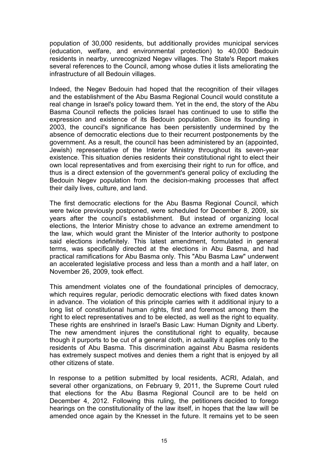population of 30,000 residents, but additionally provides municipal services (education, welfare, and environmental protection) to 40,000 Bedouin residents in nearby, unrecognized Negev villages. The State's Report makes several references to the Council, among whose duties it lists ameliorating the infrastructure of all Bedouin villages.

Indeed, the Negev Bedouin had hoped that the recognition of their villages and the establishment of the Abu Basma Regional Council would constitute a real change in Israel's policy toward them. Yet in the end, the story of the Abu Basma Council reflects the policies Israel has continued to use to stifle the expression and existence of its Bedouin population. Since its founding in 2003, the council's significance has been persistently undermined by the absence of democratic elections due to their recurrent postponements by the government. As a result, the council has been administered by an (appointed, Jewish) representative of the Interior Ministry throughout its seven-year existence. This situation denies residents their constitutional right to elect their own local representatives and from exercising their right to run for office, and thus is a direct extension of the government's general policy of excluding the Bedouin Negev population from the decision-making processes that affect their daily lives, culture, and land.

The first democratic elections for the Abu Basma Regional Council, which were twice previously postponed, were scheduled for December 8, 2009, six years after the council's establishment. But instead of organizing local elections, the Interior Ministry chose to advance an extreme amendment to the law, which would grant the Minister of the Interior authority to postpone said elections indefinitely. This latest amendment, formulated in general terms, was specifically directed at the elections in Abu Basma, and had practical ramifications for Abu Basma only. This "Abu Basma Law" underwent an accelerated legislative process and less than a month and a half later, on November 26, 2009, took effect.

This amendment violates one of the foundational principles of democracy, which requires regular, periodic democratic elections with fixed dates known in advance. The violation of this principle carries with it additional injury to a long list of constitutional human rights, first and foremost among them the right to elect representatives and to be elected, as well as the right to equality. These rights are enshrined in Israel's Basic Law: Human Dignity and Liberty. The new amendment injures the constitutional right to equality, because though it purports to be cut of a general cloth, in actuality it applies only to the residents of Abu Basma. This discrimination against Abu Basma residents has extremely suspect motives and denies them a right that is enjoyed by all other citizens of state.

In response to a petition submitted by local residents, ACRI, Adalah, and several other organizations, on February 9, 2011, the Supreme Court ruled that elections for the Abu Basma Regional Council are to be held on December 4, 2012. Following this ruling, the petitioners decided to forego hearings on the constitutionality of the law itself, in hopes that the law will be amended once again by the Knesset in the future. It remains yet to be seen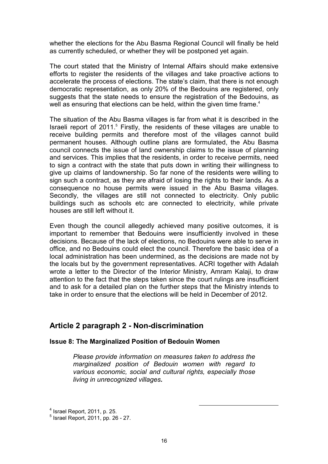whether the elections for the Abu Basma Regional Council will finally be held as currently scheduled, or whether they will be postponed yet again.

The court stated that the Ministry of Internal Affairs should make extensive efforts to register the residents of the villages and take proactive actions to accelerate the process of elections. The state's claim, that there is not enough democratic representation, as only 20% of the Bedouins are registered, only suggests that the state needs to ensure the registration of the Bedouins, as well as ensuring that elections can be held, within the given time frame.<sup>4</sup>

The situation of the Abu Basma villages is far from what it is described in the Israeli report of 2011.<sup>5</sup> Firstly, the residents of these villages are unable to receive building permits and therefore most of the villages cannot build permanent houses. Although outline plans are formulated, the Abu Basma council connects the issue of land ownership claims to the issue of planning and services. This implies that the residents, in order to receive permits, need to sign a contract with the state that puts down in writing their willingness to give up claims of landownership. So far none of the residents were willing to sign such a contract, as they are afraid of losing the rights to their lands. As a consequence no house permits were issued in the Abu Basma villages. Secondly, the villages are still not connected to electricity. Only public buildings such as schools etc are connected to electricity, while private houses are still left without it.

Even though the council allegedly achieved many positive outcomes, it is important to remember that Bedouins were insufficiently involved in these decisions. Because of the lack of elections, no Bedouins were able to serve in office, and no Bedouins could elect the council. Therefore the basic idea of a local administration has been undermined, as the decisions are made not by the locals but by the government representatives. ACRI together with Adalah wrote a letter to the Director of the Interior Ministry, Amram Kalaji, to draw attention to the fact that the steps taken since the court rulings are insufficient and to ask for a detailed plan on the further steps that the Ministry intends to take in order to ensure that the elections will be held in December of 2012.

# Article 2 paragraph 2 - Non-discrimination

#### Issue 8: The Marginalized Position of Bedouin Women

Please provide information on measures taken to address the marginalized position of Bedouin women with regard to various economic, social and cultural rights, especially those living in unrecognized villages.

 $<sup>4</sup>$  Israel Report, 2011, p. 25.</sup>

<sup>5</sup> Israel Report, 2011, pp. 26 - 27.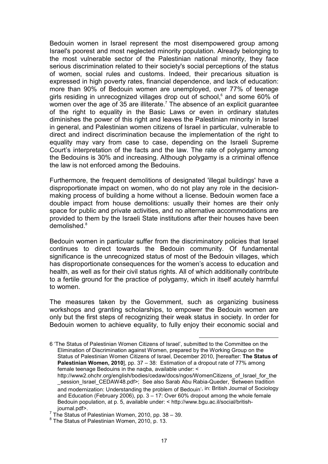Bedouin women in Israel represent the most disempowered group among Israel's poorest and most neglected minority population. Already belonging to the most vulnerable sector of the Palestinian national minority, they face serious discrimination related to their society's social perceptions of the status of women, social rules and customs. Indeed, their precarious situation is expressed in high poverty rates, financial dependence, and lack of education: more than 90% of Bedouin women are unemployed, over 77% of teenage girls residing in unrecognized villages drop out of school,<sup>6</sup> and some 60% of women over the age of 35 are illiterate.<sup>7</sup> The absence of an explicit guarantee of the right to equality in the Basic Laws or even in ordinary statutes diminishes the power of this right and leaves the Palestinian minority in Israel in general, and Palestinian women citizens of Israel in particular, vulnerable to direct and indirect discrimination because the implementation of the right to equality may vary from case to case, depending on the Israeli Supreme Court's interpretation of the facts and the law. The rate of polygamy among the Bedouins is 30% and increasing. Although polygamy is a criminal offence the law is not enforced among the Bedouins.

Furthermore, the frequent demolitions of designated 'illegal buildings' have a disproportionate impact on women, who do not play any role in the decisionmaking process of building a home without a license. Bedouin women face a double impact from house demolitions: usually their homes are their only space for public and private activities, and no alternative accommodations are provided to them by the Israeli State institutions after their houses have been demolished.<sup>8</sup>

Bedouin women in particular suffer from the discriminatory policies that Israel continues to direct towards the Bedouin community. Of fundamental significance is the unrecognized status of most of the Bedouin villages, which has disproportionate consequences for the women's access to education and health, as well as for their civil status rights. All of which additionally contribute to a fertile ground for the practice of polygamy, which in itself acutely harmful to women.

The measures taken by the Government, such as organizing business workshops and granting scholarships, to empower the Bedouin women are only but the first steps of recognizing their weak status in society. In order for Bedouin women to achieve equality, to fully enjoy their economic social and

l

<sup>6 &#</sup>x27;The Status of Palestinian Women Citizens of Israel', submitted to the Committee on the Elimination of Discrimination against Women, prepared by the Working Group on the Status of Palestinian Women Citizens of Israel, December 2010, [hereafter: The Status of Palestinian Women, 2010], pp. 37 - 38: Estimation of a dropout rate of 77% among female teenage Bedouins in the naqba, available under: <

http://www2.ohchr.org/english/bodies/cedaw/docs/ngos/WomenCitizens\_of\_Israel\_for\_the session\_Israel\_CEDAW48.pdf>; See also Sarab Abu Rabia-Queder, 'Between tradition and modernization: Understanding the problem of Bedouin', in: British Journal of Sociology and Education (February 2006), pp.  $3 - 17$ : Over 60% dropout among the whole female Bedouin population, at p. 5, available under: < http://www.bgu.ac.il/social/britishjournal.pdf>.

 $^7$  The Status of Palestinian Women, 2010, pp. 38 - 39.

 $8$  The Status of Palestinian Women, 2010, p. 13.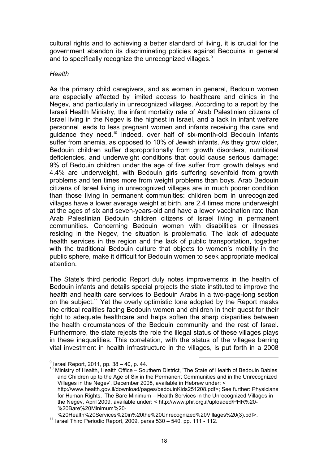cultural rights and to achieving a better standard of living, it is crucial for the government abandon its discriminating policies against Bedouins in general and to specifically recognize the unrecognized villages.<sup>9</sup>

#### **Health**

As the primary child caregivers, and as women in general, Bedouin women are especially affected by limited access to healthcare and clinics in the Negev, and particularly in unrecognized villages. According to a report by the Israeli Health Ministry, the infant mortality rate of Arab Palestinian citizens of Israel living in the Negev is the highest in Israel, and a lack in infant welfare personnel leads to less pregnant women and infants receiving the care and guidance they need.<sup>10</sup> Indeed, over half of six-month-old Bedouin infants suffer from anemia, as opposed to 10% of Jewish infants. As they grow older. Bedouin children suffer disproportionally from growth disorders, nutritional deficiencies, and underweight conditions that could cause serious damage: 9% of Bedouin children under the age of five suffer from growth delays and 4.4% are underweight, with Bedouin girls suffering sevenfold from growth problems and ten times more from weight problems than boys. Arab Bedouin citizens of Israel living in unrecognized villages are in much poorer condition than those living in permanent communities: children born in unrecognized villages have a lower average weight at birth, are 2.4 times more underweight at the ages of six and seven-years-old and have a lower vaccination rate than Arab Palestinian Bedouin children citizens of Israel living in permanent communities. Concerning Bedouin women with disabilities or illnesses residing in the Negev, the situation is problematic. The lack of adequate health services in the region and the lack of public transportation, together with the traditional Bedouin culture that objects to women's mobility in the public sphere, make it difficult for Bedouin women to seek appropriate medical attention.

The State's third periodic Report duly notes improvements in the health of Bedouin infants and details special projects the state instituted to improve the health and health care services to Bedouin Arabs in a two-page-long section on the subject.<sup>11</sup> Yet the overly optimistic tone adopted by the Report masks the critical realities facing Bedouin women and children in their quest for their right to adequate healthcare and helps soften the sharp disparities between the health circumstances of the Bedouin community and the rest of Israel. Furthermore, the state rejects the role the illegal status of these villages plays in these inequalities. This correlation, with the status of the villages barring vital investment in health infrastructure in the villages, is put forth in a 2008

<sup>&</sup>lt;sup>9</sup> Israel Report, 2011, pp. 38 – 40, p. 44.

Ministry of Health, Health Office – Southern District, 'The State of Health of Bedouin Babies and Children up to the Age of Six in the Permanent Communities and in the Unrecognized Villages in the Negev', December 2008, available in Hebrew under: < http://www.health.gov.il/download/pages/bedouinKids251208.pdf>; See further: Physicians for Human Rights, 'The Bare Minimum – Health Services in the Unrecognized Villages in the Negev, April 2009, available under: < http://www.phr.org.il/uploaded/PHR%20- %20Bare%20Minimum%20-

<sup>%20</sup>Health%20Services%20in%20the%20Unrecognized%20Villages%20(3).pdf>.

 $11$  Israel Third Periodic Report, 2009, paras  $530 - 540$ , pp. 111 - 112.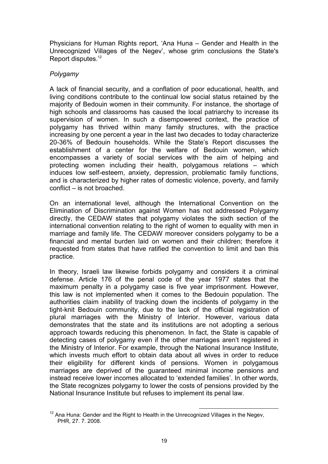Physicians for Human Rights report, 'Ana Huna – Gender and Health in the Unrecognized Villages of the Negev', whose grim conclusions the State's Report disputes.<sup>12</sup>

# Polygamy

A lack of financial security, and a conflation of poor educational, health, and living conditions contribute to the continual low social status retained by the majority of Bedouin women in their community. For instance, the shortage of high schools and classrooms has caused the local patriarchy to increase its supervision of women. In such a disempowered context, the practice of polygamy has thrived within many family structures, with the practice increasing by one percent a year in the last two decades to today characterize 20-36% of Bedouin households. While the State's Report discusses the establishment of a center for the welfare of Bedouin women, which encompasses a variety of social services with the aim of helping and protecting women including their health, polygamous relations – which induces low self-esteem, anxiety, depression, problematic family functions, and is characterized by higher rates of domestic violence, poverty, and family conflict – is not broached.

On an international level, although the International Convention on the Elimination of Discrimination against Women has not addressed Polygamy directly, the CEDAW states that polygamy violates the sixth section of the international convention relating to the right of women to equality with men in marriage and family life. The CEDAW moreover considers polygamy to be a financial and mental burden laid on women and their children; therefore it requested from states that have ratified the convention to limit and ban this practice.

In theory, Israeli law likewise forbids polygamy and considers it a criminal defense. Article 176 of the penal code of the year 1977 states that the maximum penalty in a polygamy case is five year imprisonment. However, this law is not implemented when it comes to the Bedouin population. The authorities claim inability of tracking down the incidents of polygamy in the tight-knit Bedouin community, due to the lack of the official registration of plural marriages with the Ministry of Interior. However, various data demonstrates that the state and its institutions are not adopting a serious approach towards reducing this phenomenon. In fact, the State is capable of detecting cases of polygamy even if the other marriages aren't registered in the Ministry of Interior. For example, through the National Insurance Institute, which invests much effort to obtain data about all wives in order to reduce their eligibility for different kinds of pensions. Women in polygamous marriages are deprived of the guaranteed minimal income pensions and instead receive lower incomes allocated to 'extended families'. In other words, the State recognizes polygamy to lower the costs of pensions provided by the National Insurance Institute but refuses to implement its penal law.

 $\overline{a}$  $12$  Ana Huna: Gender and the Right to Health in the Unrecognized Villages in the Negev, PHR, 27. 7. 2008.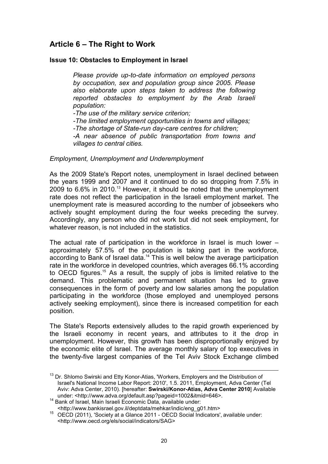# Article 6 – The Right to Work

# Issue 10: Obstacles to Employment in Israel

Please provide up-to-date information on employed persons by occupation, sex and population group since 2005. Please also elaborate upon steps taken to address the following reported obstacles to employment by the Arab Israeli population:

-The use of the military service criterion; -The limited employment opportunities in towns and villages; -The shortage of State-run day-care centres for children; -A near absence of public transportation from towns and villages to central cities.

#### Employment, Unemployment and Underemployment

As the 2009 State's Report notes, unemployment in Israel declined between the years 1999 and 2007 and it continued to do so dropping from 7.5% in 2009 to  $6.6\%$  in 2010.<sup>13</sup> However, it should be noted that the unemployment rate does not reflect the participation in the Israeli employment market. The unemployment rate is measured according to the number of jobseekers who actively sought employment during the four weeks preceding the survey. Accordingly, any person who did not work but did not seek employment, for whatever reason, is not included in the statistics.

The actual rate of participation in the workforce in Israel is much lower – approximately 57.5% of the population is taking part in the workforce, according to Bank of Israel data.<sup>14</sup> This is well below the average participation rate in the workforce in developed countries, which averages 66.1% according to OECD figures.<sup>15</sup> As a result, the supply of jobs is limited relative to the demand. This problematic and permanent situation has led to grave consequences in the form of poverty and low salaries among the population participating in the workforce (those employed and unemployed persons actively seeking employment), since there is increased competition for each position.

The State's Reports extensively alludes to the rapid growth experienced by the Israeli economy in recent years, and attributes to it the drop in unemployment. However, this growth has been disproportionally enjoyed by the economic elite of Israel. The average monthly salary of top executives in the twenty-five largest companies of the Tel Aviv Stock Exchange climbed

 $\overline{a}$ <sup>13</sup> Dr. Shlomo Swirski and Etty Konor-Atias, 'Workers, Employers and the Distribution of Israel's National Income Labor Report: 2010', 1.5. 2011, Employment, Adva Center (Tel Aviv: Adva Center, 2010). [hereafter: Swirski/Konor-Atias, Adva Center 2010] Available under: <http://www.adva.org/default.asp?pageid=1002&itmid=646>.

<sup>14</sup> Bank of Israel, Main Israeli Economic Data, available under: <http://www.bankisrael.gov.il/deptdata/mehkar/indic/eng\_g01.htm>

<sup>15</sup> OECD (2011), 'Society at a Glance 2011 - OECD Social Indicators', available under: <http://www.oecd.org/els/social/indicators/SAG>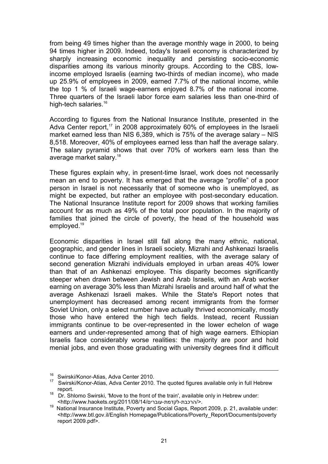from being 49 times higher than the average monthly wage in 2000, to being 94 times higher in 2009. Indeed, today's Israeli economy is characterized by sharply increasing economic inequality and persisting socio-economic disparities among its various minority groups. According to the CBS, lowincome employed Israelis (earning two-thirds of median income), who made up 25.9% of employees in 2009, earned 7.7% of the national income, while the top 1 % of Israeli wage-earners enjoyed 8.7% of the national income. Three quarters of the Israeli labor force earn salaries less than one-third of high-tech salaries.<sup>16</sup>

According to figures from the National Insurance Institute, presented in the Adva Center report,<sup>17</sup> in 2008 approximately 60% of employees in the Israeli market earned less than NIS 6,389, which is 75% of the average salary – NIS 8,518. Moreover, 40% of employees earned less than half the average salary. The salary pyramid shows that over 70% of workers earn less than the average market salary.<sup>18</sup>

These figures explain why, in present-time Israel, work does not necessarily mean an end to poverty. It has emerged that the average "profile" of a poor person in Israel is not necessarily that of someone who is unemployed, as might be expected, but rather an employee with post-secondary education. The National Insurance Institute report for 2009 shows that working families account for as much as 49% of the total poor population. In the majority of families that joined the circle of poverty, the head of the household was employed.<sup>19</sup>

Economic disparities in Israel still fall along the many ethnic, national, geographic, and gender lines in Israeli society. Mizrahi and Ashkenazi Israelis continue to face differing employment realities, with the average salary of second generation Mizrahi individuals employed in urban areas 40% lower than that of an Ashkenazi employee. This disparity becomes significantly steeper when drawn between Jewish and Arab Israelis, with an Arab worker earning on average 30% less than Mizrahi Israelis and around half of what the average Ashkenazi Israeli makes. While the State's Report notes that unemployment has decreased among recent immigrants from the former Soviet Union, only a select number have actually thrived economically, mostly those who have entered the high tech fields. Instead, recent Russian immigrants continue to be over-represented in the lower echelon of wage earners and under-represented among that of high wage earners. Ethiopian Israelis face considerably worse realities: the majority are poor and hold menial jobs, and even those graduating with university degrees find it difficult

<sup>&</sup>lt;sup>16</sup> Swirski/Konor-Atias, Adva Center 2010.

<sup>&</sup>lt;sup>17</sup> Swirski/Konor-Atias, Adva Center 2010. The quoted figures available only in full Hebrew report.

<sup>&</sup>lt;sup>18</sup> Dr. Shlomo Swirski, 'Move to the front of the train', available only in Hebrew under: <http://www.haokets.org/2011/08/14/לקדמת-עוברים-לקדמת-

<sup>19</sup> National Insurance Institute, Poverty and Social Gaps, Report 2009, p. 21, available under: <http://www.btl.gov.il/English Homepage/Publications/Poverty\_Report/Documents/poverty report 2009.pdf>.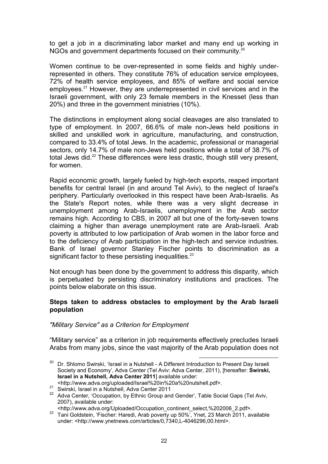to get a job in a discriminating labor market and many end up working in NGOs and government departments focused on their community. $^{20}$ 

Women continue to be over-represented in some fields and highly underrepresented in others. They constitute 76% of education service employees, 72% of health service employees, and 85% of welfare and social service employees.<sup>21</sup> However, they are underrepresented in civil services and in the Israeli government, with only 23 female members in the Knesset (less than 20%) and three in the government ministries (10%).

The distinctions in employment along social cleavages are also translated to type of employment. In 2007, 66.6% of male non-Jews held positions in skilled and unskilled work in agriculture, manufacturing, and construction, compared to 33.4% of total Jews. In the academic, professional or managerial sectors, only 14.7% of male non-Jews held positions while a total of 38.7% of total Jews did.<sup>22</sup> These differences were less drastic, though still very present, for women.

Rapid economic growth, largely fueled by high-tech exports, reaped important benefits for central Israel (in and around Tel Aviv), to the neglect of Israel's periphery. Particularly overlooked in this respect have been Arab-Israelis. As the State's Report notes, while there was a very slight decrease in unemployment among Arab-Israelis, unemployment in the Arab sector remains high. According to CBS, in 2007 all but one of the forty-seven towns claiming a higher than average unemployment rate are Arab-Israeli. Arab poverty is attributed to low participation of Arab women in the labor force and to the deficiency of Arab participation in the high-tech and service industries. Bank of Israel governor Stanley Fischer points to discrimination as a significant factor to these persisting inequalities.<sup>23</sup>

Not enough has been done by the government to address this disparity, which is perpetuated by persisting discriminatory institutions and practices. The points below elaborate on this issue.

#### Steps taken to address obstacles to employment by the Arab Israeli population

# "Military Service" as a Criterion for Employment

"Military service" as a criterion in job requirements effectively precludes Israeli Arabs from many jobs, since the vast majority of the Arab population does not

 $\overline{a}$ <sup>20</sup> Dr. Shlomo Swirski, 'Israel in a Nutshell - A Different Introduction to Present Day Israeli Society and Economy', Adva Center (Tel Aviv: Adva Center, 2011), [hereafter: Swirski, Israel in a Nutshell, Adva Center 2011] available under: <http://www.adva.org/uploaded/Israel%20in%20a%20nutshell.pdf>.

**ENTER SIMPLE SHIPS AND SHIPS SWITSKI, Israel in a Nutshell, Adva Center 2011** 

<sup>22</sup> Adva Center, 'Occupation, by Ethnic Group and Gender', Table Social Gaps (Tel Aviv, 2007), available under:

<sup>&</sup>lt;http://www.adva.org/Uploaded/Occupation\_continent\_select,%202006\_2.pdf>.

<sup>23</sup> Tani Goldstein, 'Fischer: Haredi, Arab poverty up 50%', Ynet, 23 March 2011, available under: <http://www.ynetnews.com/articles/0,7340,L-4046296,00.html>.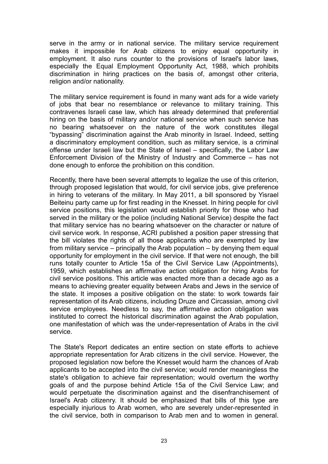serve in the army or in national service. The military service requirement makes it impossible for Arab citizens to enjoy equal opportunity in employment. It also runs counter to the provisions of Israel's labor laws, especially the Equal Employment Opportunity Act, 1988, which prohibits discrimination in hiring practices on the basis of, amongst other criteria, religion and/or nationality.

The military service requirement is found in many want ads for a wide variety of jobs that bear no resemblance or relevance to military training. This contravenes Israeli case law, which has already determined that preferential hiring on the basis of military and/or national service when such service has no bearing whatsoever on the nature of the work constitutes illegal "bypassing" discrimination against the Arab minority in Israel. Indeed, setting a discriminatory employment condition, such as military service, is a criminal offense under Israeli law but the State of Israel – specifically, the Labor Law Enforcement Division of the Ministry of Industry and Commerce – has not done enough to enforce the prohibition on this condition.

Recently, there have been several attempts to legalize the use of this criterion, through proposed legislation that would, for civil service jobs, give preference in hiring to veterans of the military. In May 2011, a bill sponsored by Yisrael Beiteinu party came up for first reading in the Knesset. In hiring people for civil service positions, this legislation would establish priority for those who had served in the military or the police (including National Service) despite the fact that military service has no bearing whatsoever on the character or nature of civil service work. In response, ACRI published a position paper stressing that the bill violates the rights of all those applicants who are exempted by law from military service – principally the Arab population – by denying them equal opportunity for employment in the civil service. If that were not enough, the bill runs totally counter to Article 15a of the Civil Service Law (Appointments), 1959, which establishes an affirmative action obligation for hiring Arabs for civil service positions. This article was enacted more than a decade ago as a means to achieving greater equality between Arabs and Jews in the service of the state. It imposes a positive obligation on the state: to work towards fair representation of its Arab citizens, including Druze and Circassian, among civil service employees. Needless to say, the affirmative action obligation was instituted to correct the historical discrimination against the Arab population, one manifestation of which was the under-representation of Arabs in the civil service.

The State's Report dedicates an entire section on state efforts to achieve appropriate representation for Arab citizens in the civil service. However, the proposed legislation now before the Knesset would harm the chances of Arab applicants to be accepted into the civil service; would render meaningless the state's obligation to achieve fair representation; would overturn the worthy goals of and the purpose behind Article 15a of the Civil Service Law; and would perpetuate the discrimination against and the disenfranchisement of Israel's Arab citizenry. It should be emphasized that bills of this type are especially injurious to Arab women, who are severely under-represented in the civil service, both in comparison to Arab men and to women in general.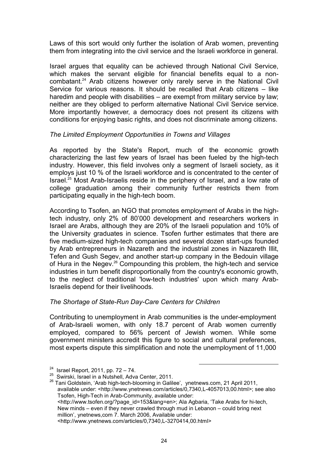Laws of this sort would only further the isolation of Arab women, preventing them from integrating into the civil service and the Israeli workforce in general.

Israel argues that equality can be achieved through National Civil Service, which makes the servant eligible for financial benefits equal to a noncombatant.<sup>24</sup> Arab citizens however only rarely serve in the National Civil Service for various reasons. It should be recalled that Arab citizens – like haredim and people with disabilities – are exempt from military service by law; neither are they obliged to perform alternative National Civil Service service. More importantly however, a democracy does not present its citizens with conditions for enjoying basic rights, and does not discriminate among citizens.

# The Limited Employment Opportunities in Towns and Villages

As reported by the State's Report, much of the economic growth characterizing the last few years of Israel has been fueled by the high-tech industry. However, this field involves only a segment of Israeli society, as it employs just 10 % of the Israeli workforce and is concentrated to the center of Israel.<sup>25</sup> Most Arab-Israelis reside in the periphery of Israel, and a low rate of college graduation among their community further restricts them from participating equally in the high-tech boom.

According to Tsofen, an NGO that promotes employment of Arabs in the hightech industry, only 2% of 80'000 development and researchers workers in Israel are Arabs, although they are 20% of the Israeli population and 10% of the University graduates in science. Tsofen further estimates that there are five medium-sized high-tech companies and several dozen start-ups founded by Arab entrepreneurs in Nazareth and the industrial zones in Nazareth Illit, Tefen and Gush Segev, and another start-up company in the Bedouin village of Hura in the Negev.<sup>26</sup> Compounding this problem, the high-tech and service industries in turn benefit disproportionally from the country's economic growth, to the neglect of traditional 'low-tech industries' upon which many Arab-Israelis depend for their livelihoods.

# The Shortage of State-Run Day-Care Centers for Children

Contributing to unemployment in Arab communities is the under-employment of Arab-Israeli women, with only 18.7 percent of Arab women currently employed, compared to 56% percent of Jewish women. While some government ministers accredit this figure to social and cultural preferences, most experts dispute this simplification and note the unemployment of 11,000

l

<sup>&</sup>lt;sup>24</sup> Israel Report, 2011, pp.  $72 - 74$ .

<sup>&</sup>lt;sup>25</sup> Swirski, Israel in a Nutshell, Adva Center, 2011.

<sup>&</sup>lt;sup>26</sup> Tani Goldstein, 'Arab high-tech-blooming in Galilee', ynetnews.com, 21 April 2011, available under: <http://www.ynetnews.com/articles/0,7340,L-4057013,00.html>; see also Tsofen, High-Tech in Arab-Community, available under: <http://www.tsofen.org/?page\_id=153&lang=en>; Ala Agbaria, 'Take Arabs for hi-tech, New minds – even if they never crawled through mud in Lebanon – could bring next million', ynetnews,com 7. March 2006, Available under: <http://www.ynetnews.com/articles/0,7340,L-3270414,00.html>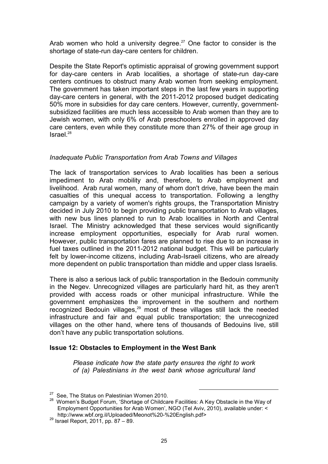Arab women who hold a university degree.<sup>27</sup> One factor to consider is the shortage of state-run day-care centers for children.

Despite the State Report's optimistic appraisal of growing government support for day-care centers in Arab localities, a shortage of state-run day-care centers continues to obstruct many Arab women from seeking employment. The government has taken important steps in the last few years in supporting day-care centers in general, with the 2011-2012 proposed budget dedicating 50% more in subsidies for day care centers. However, currently, governmentsubsidized facilities are much less accessible to Arab women than they are to Jewish women, with only 6% of Arab preschoolers enrolled in approved day care centers, even while they constitute more than 27% of their age group in  $Israel.<sup>28</sup>$ 

# Inadequate Public Transportation from Arab Towns and Villages

The lack of transportation services to Arab localities has been a serious impediment to Arab mobility and, therefore, to Arab employment and livelihood. Arab rural women, many of whom don't drive, have been the main casualties of this unequal access to transportation. Following a lengthy campaign by a variety of women's rights groups, the Transportation Ministry decided in July 2010 to begin providing public transportation to Arab villages, with new bus lines planned to run to Arab localities in North and Central Israel. The Ministry acknowledged that these services would significantly increase employment opportunities, especially for Arab rural women. However, public transportation fares are planned to rise due to an increase in fuel taxes outlined in the 2011-2012 national budget. This will be particularly felt by lower-income citizens, including Arab-Israeli citizens, who are already more dependent on public transportation than middle and upper class Israelis.

There is also a serious lack of public transportation in the Bedouin community in the Negev. Unrecognized villages are particularly hard hit, as they aren't provided with access roads or other municipal infrastructure. While the government emphasizes the improvement in the southern and northern recognized Bedouin villages, $29$  most of these villages still lack the needed infrastructure and fair and equal public transportation; the unrecognized villages on the other hand, where tens of thousands of Bedouins live, still don't have any public transportation solutions.

# Issue 12: Obstacles to Employment in the West Bank

Please indicate how the state party ensures the right to work of (a) Palestinians in the west bank whose agricultural land

 $27$  See. The Status on Palestinian Women 2010.

<sup>&</sup>lt;sup>28</sup> Women's Budget Forum, 'Shortage of Childcare Facilities: A Key Obstacle in the Way of Employment Opportunities for Arab Women', NGO (Tel Aviv, 2010), available under: < http://www.wbf.org.il/Uploaded/Meonot%20-%20English.pdf>

 $^{29}$  Israel Report, 2011, pp. 87 – 89.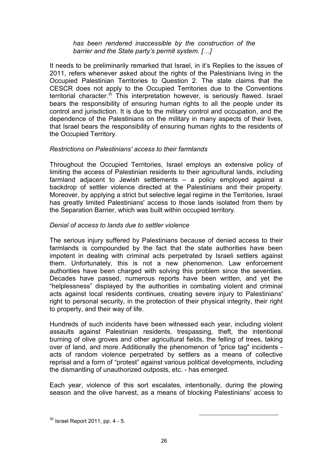# has been rendered inaccessible by the construction of the barrier and the State party's permit system. […]

It needs to be preliminarily remarked that Israel, in it's Replies to the issues of 2011, refers whenever asked about the rights of the Palestinians living in the Occupied Palestinian Territories to Question 2. The state claims that the CESCR does not apply to the Occupied Territories due to the Conventions territorial character.<sup>30</sup> This interpretation however, is seriously flawed. Israel bears the responsibility of ensuring human rights to all the people under its control and jurisdiction. It is due to the military control and occupation, and the dependence of the Palestinians on the military in many aspects of their lives, that Israel bears the responsibility of ensuring human rights to the residents of the Occupied Territory.

# Restrictions on Palestinians' access to their farmlands

Throughout the Occupied Territories, Israel employs an extensive policy of limiting the access of Palestinian residents to their agricultural lands, including farmland adjacent to Jewish settlements – a policy employed against a backdrop of settler violence directed at the Palestinians and their property. Moreover, by applying a strict but selective legal regime in the Territories, Israel has greatly limited Palestinians' access to those lands isolated from them by the Separation Barrier, which was built within occupied territory.

#### Denial of access to lands due to settler violence

The serious injury suffered by Palestinians because of denied access to their farmlands is compounded by the fact that the state authorities have been impotent in dealing with criminal acts perpetrated by Israeli settlers against them. Unfortunately, this is not a new phenomenon. Law enforcement authorities have been charged with solving this problem since the seventies. Decades have passed, numerous reports have been written, and yet the "helplessness" displayed by the authorities in combating violent and criminal acts against local residents continues, creating severe injury to Palestinians' right to personal security, in the protection of their physical integrity, their right to property, and their way of life.

Hundreds of such incidents have been witnessed each year, including violent assaults against Palestinian residents, trespassing, theft, the intentional burning of olive groves and other agricultural fields, the felling of trees, taking over of land, and more. Additionally the phenomenon of "price tag" incidents acts of random violence perpetrated by settlers as a means of collective reprisal and a form of "protest" against various political developments, including the dismantling of unauthorized outposts, etc. - has emerged.

Each year, violence of this sort escalates, intentionally, during the plowing season and the olive harvest, as a means of blocking Palestinians' access to

 $30$  Israel Report 2011, pp. 4 - 5.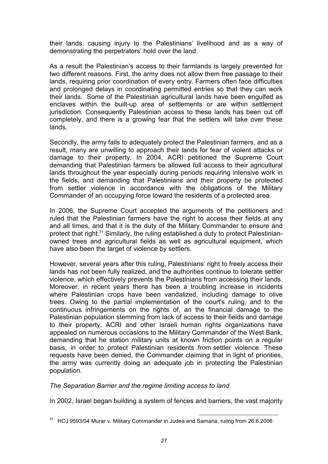their lands, causing injury to the Palestinians' livelihood and as a way of demonstrating the perpetrators' hold over the land.

As a result the Palestinian's access to their farmlands is largely prevented for two different reasons. First, the army does not allow them free passage to their lands, requiring prior coordination of every entry. Farmers often face difficulties and prolonged delays in coordinating permitted entries so that they can work their lands. Some of the Palestinian agricultural lands have been engulfed as enclaves within the built-up area of settlements or are within settlement jurisdiction. Consequently Palestinian access to these lands has been cut off completely, and there is a growing fear that the settlers will take over these lands.

Secondly, the army fails to adequately protect the Palestinian farmers, and as a result, many are unwilling to approach their lands for fear of violent attacks or damage to their property. In 2004, ACRI petitioned the Supreme Court demanding that Palestinian farmers be allowed full access to their agricultural lands throughout the year especially during periods requiring intensive work in the fields, and demanding that Palestinians and their property be protected from settler violence in accordance with the obligations of the Military Commander of an occupying force toward the residents of a protected area.

In 2006, the Supreme Court accepted the arguments of the petitioners and ruled that the Palestinian farmers have the right to access their fields at any and all times, and that it is the duty of the Military Commander to ensure and protect that right.<sup>31</sup> Similarly, the ruling established a duty to protect Palestinianowned trees and agricultural fields as well as agricultural equipment, which have also been the target of violence by settlers.

However, several years after this ruling, Palestinians' right to freely access their lands has not been fully realized, and the authorities continue to tolerate settler violence, which effectively prevents the Palestinians from accessing their lands. Moreover, in recent years there has been a troubling increase in incidents where Palestinian crops have been vandalized, including damage to olive trees. Owing to the partial implementation of the court's ruling, and to the continuous infringements on the rights of, an the financial damage to the Palestinian population stemming from lack of access to their fields and damage to their property, ACRI and other Israeli human rights organizations have appealed on numerous occasions to the Military Commander of the West Bank, demanding that he station military units at known friction points on a regular basis, in order to protect Palestinian residents from settler violence. These requests have been denied, the Commander claiming that in light of priorities, the army was currently doing an adequate job in protecting the Palestinian population.

The Separation Barrier and the regime limiting access to land

In 2002, Israel began building a system of fences and barriers, the vast majority

 $\overline{a}$  $31$  HCJ 9593/04 Murar v. Military Commander in Judea and Samaria, ruling from 26.6.2006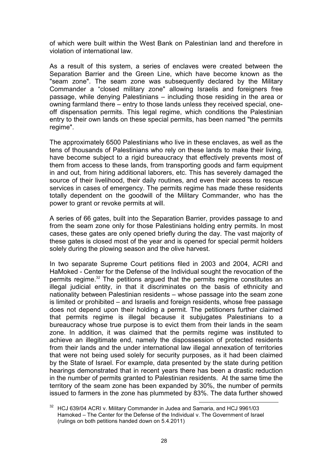of which were built within the West Bank on Palestinian land and therefore in violation of international law.

As a result of this system, a series of enclaves were created between the Separation Barrier and the Green Line, which have become known as the "seam zone". The seam zone was subsequently declared by the Military Commander a "closed military zone" allowing Israelis and foreigners free passage, while denying Palestinians – including those residing in the area or owning farmland there – entry to those lands unless they received special, oneoff dispensation permits. This legal regime, which conditions the Palestinian entry to their own lands on these special permits, has been named "the permits regime".

The approximately 6500 Palestinians who live in these enclaves, as well as the tens of thousands of Palestinians who rely on these lands to make their living, have become subject to a rigid bureaucracy that effectively prevents most of them from access to these lands, from transporting goods and farm equipment in and out, from hiring additional laborers, etc. This has severely damaged the source of their livelihood, their daily routines, and even their access to rescue services in cases of emergency. The permits regime has made these residents totally dependent on the goodwill of the Military Commander, who has the power to grant or revoke permits at will.

A series of 66 gates, built into the Separation Barrier, provides passage to and from the seam zone only for those Palestinians holding entry permits. In most cases, these gates are only opened briefly during the day. The vast majority of these gates is closed most of the year and is opened for special permit holders solely during the plowing season and the olive harvest.

In two separate Supreme Court petitions filed in 2003 and 2004, ACRI and HaMoked - Center for the Defense of the Individual sought the revocation of the permits regime.<sup>32</sup> The petitions argued that the permits regime constitutes an illegal judicial entity, in that it discriminates on the basis of ethnicity and nationality between Palestinian residents – whose passage into the seam zone is limited or prohibited – and Israelis and foreign residents, whose free passage does not depend upon their holding a permit. The petitioners further claimed that permits regime is illegal because it subjugates Palestinians to a bureaucracy whose true purpose is to evict them from their lands in the seam zone. In addition, it was claimed that the permits regime was instituted to achieve an illegitimate end, namely the dispossession of protected residents from their lands and the under international law illegal annexation of territories that were not being used solely for security purposes, as it had been claimed by the State of Israel. For example, data presented by the state during petition hearings demonstrated that in recent years there has been a drastic reduction in the number of permits granted to Palestinian residents. At the same time the territory of the seam zone has been expanded by 30%, the number of permits issued to farmers in the zone has plummeted by 83%. The data further showed

l  $32$  HCJ 639/04 ACRI v. Military Commander in Judea and Samaria, and HCJ 9961/03 Hamoked – The Center for the Defense of the Individual v. The Government of Israel (rulings on both petitions handed down on 5.4.2011)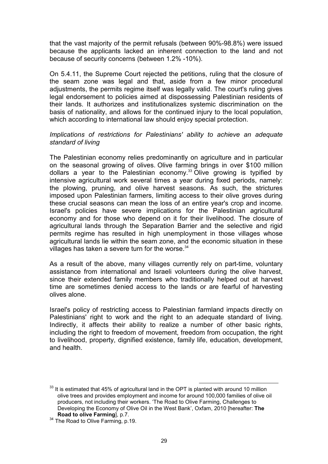that the vast majority of the permit refusals (between 90%-98.8%) were issued because the applicants lacked an inherent connection to the land and not because of security concerns (between 1.2% -10%).

On 5.4.11, the Supreme Court rejected the petitions, ruling that the closure of the seam zone was legal and that, aside from a few minor procedural adjustments, the permits regime itself was legally valid. The court's ruling gives legal endorsement to policies aimed at dispossessing Palestinian residents of their lands. It authorizes and institutionalizes systemic discrimination on the basis of nationality, and allows for the continued injury to the local population, which according to international law should enjoy special protection.

# Implications of restrictions for Palestinians' ability to achieve an adequate standard of living

The Palestinian economy relies predominantly on agriculture and in particular on the seasonal growing of olives. Olive farming brings in over \$100 million dollars a year to the Palestinian economy.<sup>33</sup> Olive growing is typified by intensive agricultural work several times a year during fixed periods, namely: the plowing, pruning, and olive harvest seasons. As such, the strictures imposed upon Palestinian farmers, limiting access to their olive groves during these crucial seasons can mean the loss of an entire year's crop and income. Israel's policies have severe implications for the Palestinian agricultural economy and for those who depend on it for their livelihood. The closure of agricultural lands through the Separation Barrier and the selective and rigid permits regime has resulted in high unemployment in those villages whose agricultural lands lie within the seam zone, and the economic situation in these villages has taken a severe turn for the worse. $34$ 

As a result of the above, many villages currently rely on part-time, voluntary assistance from international and Israeli volunteers during the olive harvest, since their extended family members who traditionally helped out at harvest time are sometimes denied access to the lands or are fearful of harvesting olives alone.

Israel's policy of restricting access to Palestinian farmland impacts directly on Palestinians' right to work and the right to an adequate standard of living. Indirectly, it affects their ability to realize a number of other basic rights, including the right to freedom of movement, freedom from occupation, the right to livelihood, property, dignified existence, family life, education, development, and health.

 $\overline{a}$  $33$  It is estimated that 45% of agricultural land in the OPT is planted with around 10 million olive trees and provides employment and income for around 100,000 families of olive oil producers, not including their workers. 'The Road to Olive Farming, Challenges to Developing the Economy of Olive Oil in the West Bank', Oxfam, 2010 [hereafter: The Road to olive Farming], p.7.

<sup>&</sup>lt;sup>34</sup> The Road to Olive Farming, p.19.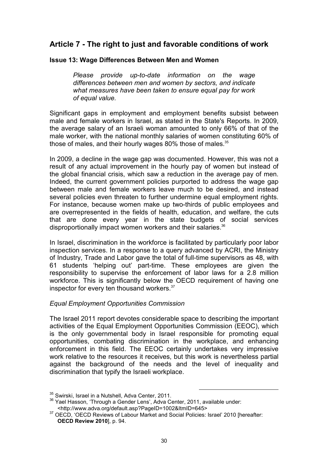# Article 7 - The right to just and favorable conditions of work

# Issue 13: Wage Differences Between Men and Women

Please provide up-to-date information on the wage differences between men and women by sectors, and indicate what measures have been taken to ensure equal pay for work of equal value.

Significant gaps in employment and employment benefits subsist between male and female workers in Israel, as stated in the State's Reports. In 2009, the average salary of an Israeli woman amounted to only 66% of that of the male worker, with the national monthly salaries of women constituting 60% of those of males, and their hourly wages 80% those of males. $35$ 

In 2009, a decline in the wage gap was documented. However, this was not a result of any actual improvement in the hourly pay of women but instead of the global financial crisis, which saw a reduction in the average pay of men. Indeed, the current government policies purported to address the wage gap between male and female workers leave much to be desired, and instead several policies even threaten to further undermine equal employment rights. For instance, because women make up two-thirds of public employees and are overrepresented in the fields of health, education, and welfare, the cuts that are done every year in the state budgets of social services disproportionally impact women workers and their salaries.<sup>36</sup>

In Israel, discrimination in the workforce is facilitated by particularly poor labor inspection services. In a response to a query advanced by ACRI, the Ministry of Industry, Trade and Labor gave the total of full-time supervisors as 48, with 61 students 'helping out' part-time. These employees are given the responsibility to supervise the enforcement of labor laws for a 2.8 million workforce. This is significantly below the OECD requirement of having one inspector for every ten thousand workers.<sup>37</sup>

# Equal Employment Opportunities Commission

The Israel 2011 report devotes considerable space to describing the important activities of the Equal Employment Opportunities Commission (EEOC), which is the only governmental body in Israel responsible for promoting equal opportunities, combating discrimination in the workplace, and enhancing enforcement in this field. The EEOC certainly undertakes very impressive work relative to the resources it receives, but this work is nevertheless partial against the background of the needs and the level of inequality and discrimination that typify the Israeli workplace.

<sup>&</sup>lt;sup>35</sup> Swirski, Israel in a Nutshell, Adva Center, 2011.

<sup>&</sup>lt;sup>36</sup> Yael Hasson, 'Through a Gender Lens', Adva Center, 2011, available under: <http://www.adva.org/default.asp?PageID=1002&ItmID=645>

<sup>&</sup>lt;sup>37</sup> OECD. 'OECD Reviews of Labour Market and Social Policies: Israel' 2010 [hereafter: OECD Review 2010], p. 94.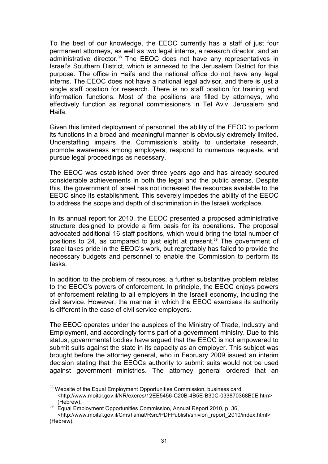To the best of our knowledge, the EEOC currently has a staff of just four permanent attorneys, as well as two legal interns, a research director, and an administrative director.<sup>38</sup> The EEOC does not have any representatives in Israel's Southern District, which is annexed to the Jerusalem District for this purpose. The office in Haifa and the national office do not have any legal interns. The EEOC does not have a national legal advisor, and there is just a single staff position for research. There is no staff position for training and information functions. Most of the positions are filled by attorneys, who effectively function as regional commissioners in Tel Aviv, Jerusalem and Haifa.

Given this limited deployment of personnel, the ability of the EEOC to perform its functions in a broad and meaningful manner is obviously extremely limited. Understaffing impairs the Commission's ability to undertake research, promote awareness among employers, respond to numerous requests, and pursue legal proceedings as necessary.

The EEOC was established over three years ago and has already secured considerable achievements in both the legal and the public arenas. Despite this, the government of Israel has not increased the resources available to the EEOC since its establishment. This severely impedes the ability of the EEOC to address the scope and depth of discrimination in the Israeli workplace.

In its annual report for 2010, the EEOC presented a proposed administrative structure designed to provide a firm basis for its operations. The proposal advocated additional 16 staff positions, which would bring the total number of positions to 24, as compared to just eight at present.<sup>39</sup> The government of Israel takes pride in the EEOC's work, but regrettably has failed to provide the necessary budgets and personnel to enable the Commission to perform its tasks.

In addition to the problem of resources, a further substantive problem relates to the EEOC's powers of enforcement. In principle, the EEOC enjoys powers of enforcement relating to all employers in the Israeli economy, including the civil service. However, the manner in which the EEOC exercises its authority is different in the case of civil service employers.

The EEOC operates under the auspices of the Ministry of Trade, Industry and Employment, and accordingly forms part of a government ministry. Due to this status, governmental bodies have argued that the EEOC is not empowered to submit suits against the state in its capacity as an employer. This subject was brought before the attorney general, who in February 2009 issued an interim decision stating that the EEOCs authority to submit suits would not be used against government ministries. The attorney general ordered that an

 $\overline{a}$  $38$  Website of the Equal Employment Opportunities Commission, business card,

<sup>&</sup>lt;http://www.moital.gov.il/NR/exeres/12EE5456-C20B-4B5E-B30C-033870368B0E.htm> (Hebrew).

<sup>39</sup> Equal Employment Opportunities Commission, Annual Report 2010, p. 36, <http://www.moital.gov.il/CmsTamat/Rsrc/PDFPublish/shivion\_report\_2010/index.html> (Hebrew).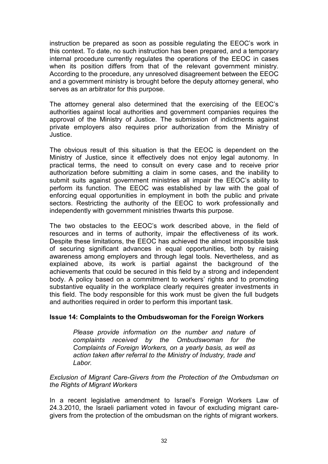instruction be prepared as soon as possible regulating the EEOC's work in this context. To date, no such instruction has been prepared, and a temporary internal procedure currently regulates the operations of the EEOC in cases when its position differs from that of the relevant government ministry. According to the procedure, any unresolved disagreement between the EEOC and a government ministry is brought before the deputy attorney general, who serves as an arbitrator for this purpose.

The attorney general also determined that the exercising of the EEOC's authorities against local authorities and government companies requires the approval of the Ministry of Justice. The submission of indictments against private employers also requires prior authorization from the Ministry of Justice.

The obvious result of this situation is that the EEOC is dependent on the Ministry of Justice, since it effectively does not enjoy legal autonomy. In practical terms, the need to consult on every case and to receive prior authorization before submitting a claim in some cases, and the inability to submit suits against government ministries all impair the EEOC's ability to perform its function. The EEOC was established by law with the goal of enforcing equal opportunities in employment in both the public and private sectors. Restricting the authority of the EEOC to work professionally and independently with government ministries thwarts this purpose.

The two obstacles to the EEOC's work described above, in the field of resources and in terms of authority, impair the effectiveness of its work. Despite these limitations, the EEOC has achieved the almost impossible task of securing significant advances in equal opportunities, both by raising awareness among employers and through legal tools. Nevertheless, and as explained above, its work is partial against the background of the achievements that could be secured in this field by a strong and independent body. A policy based on a commitment to workers' rights and to promoting substantive equality in the workplace clearly requires greater investments in this field. The body responsible for this work must be given the full budgets and authorities required in order to perform this important task.

# Issue 14: Complaints to the Ombudswoman for the Foreign Workers

Please provide information on the number and nature of complaints received by the Ombudswoman for the Complaints of Foreign Workers, on a yearly basis, as well as action taken after referral to the Ministry of Industry, trade and Labor.

Exclusion of Migrant Care-Givers from the Protection of the Ombudsman on the Rights of Migrant Workers

In a recent legislative amendment to Israel's Foreign Workers Law of 24.3.2010, the Israeli parliament voted in favour of excluding migrant caregivers from the protection of the ombudsman on the rights of migrant workers.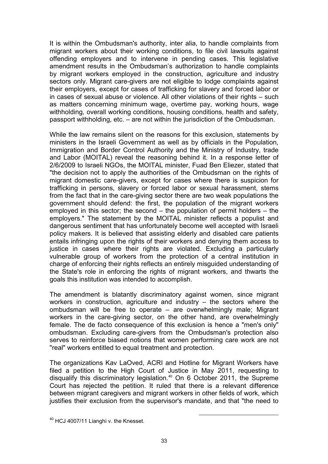It is within the Ombudsman's authority, inter alia, to handle complaints from migrant workers about their working conditions, to file civil lawsuits against offending employers and to intervene in pending cases. This legislative amendment results in the Ombudsman's authorization to handle complaints by migrant workers employed in the construction, agriculture and industry sectors only. Migrant care-givers are not eligible to lodge complaints against their employers, except for cases of trafficking for slavery and forced labor or in cases of sexual abuse or violence. All other violations of their rights – such as matters concerning minimum wage, overtime pay, working hours, wage withholding, overall working conditions, housing conditions, health and safety, passport withholding, etc. – are not within the jurisdiction of the Ombudsman.

While the law remains silent on the reasons for this exclusion, statements by ministers in the Israeli Government as well as by officials in the Population, Immigration and Border Control Authority and the Ministry of Industry, trade and Labor (MOITAL) reveal the reasoning behind it. In a response letter of 2/6/2009 to Israeli NGOs, the MOITAL minister, Fuad Ben Eliezer, stated that "the decision not to apply the authorities of the Ombudsman on the rights of migrant domestic care-givers, except for cases where there is suspicion for trafficking in persons, slavery or forced labor or sexual harassment, stems from the fact that in the care-giving sector there are two weak populations the government should defend: the first, the population of the migrant workers employed in this sector; the second – the population of permit holders – the employers." The statement by the MOITAL minister reflects a populist and dangerous sentiment that has unfortunately become well accepted with Israeli policy makers. It is believed that assisting elderly and disabled care patients entails infringing upon the rights of their workers and denying them access to justice in cases where their rights are violated. Excluding a particularly vulnerable group of workers from the protection of a central institution in charge of enforcing their rights reflects an entirely misguided understanding of the State's role in enforcing the rights of migrant workers, and thwarts the goals this institution was intended to accomplish.

The amendment is blatantly discriminatory against women, since migrant workers in construction, agriculture and industry – the sectors where the ombudsman will be free to operate – are overwhelmingly male; Migrant workers in the care-giving sector, on the other hand, are overwhelmingly female. The de facto consequence of this exclusion is hence a "men's only" ombudsman. Excluding care-givers from the Ombudsman's protection also serves to reinforce biased notions that women performing care work are not "real" workers entitled to equal treatment and protection.

The organizations Kav LaOved, ACRI and Hotline for Migrant Workers have filed a petition to the High Court of Justice in May 2011, requesting to disqualify this discriminatory legislation.<sup>40</sup> On 6 October 2011, the Supreme Court has rejected the petition. It ruled that there is a relevant difference between migrant caregivers and migrant workers in other fields of work, which justifies their exclusion from the supervisor's mandate, and that "the need to

<sup>&</sup>lt;sup>40</sup> HCJ 4007/11 Lianghi v. the Knesset.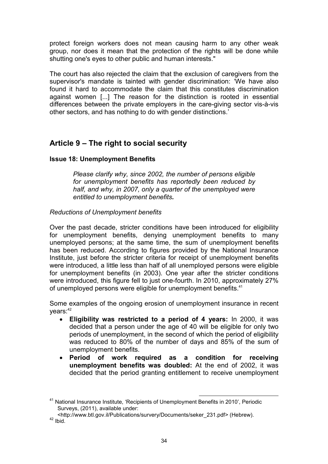protect foreign workers does not mean causing harm to any other weak group, nor does it mean that the protection of the rights will be done while shutting one's eyes to other public and human interests."

The court has also rejected the claim that the exclusion of caregivers from the supervisor's mandate is tainted with gender discrimination: 'We have also found it hard to accommodate the claim that this constitutes discrimination against women [...] The reason for the distinction is rooted in essential differences between the private employers in the care-giving sector vis-à-vis other sectors, and has nothing to do with gender distinctions.'

# Article 9 – The right to social security

# Issue 18: Unemployment Benefits

Please clarify why, since 2002, the number of persons eligible for unemployment benefits has reportedly been reduced by half, and why, in 2007, only a quarter of the unemployed were entitled to unemployment benefits.

# Reductions of Unemployment benefits

Over the past decade, stricter conditions have been introduced for eligibility for unemployment benefits, denying unemployment benefits to many unemployed persons; at the same time, the sum of unemployment benefits has been reduced. According to figures provided by the National Insurance Institute, just before the stricter criteria for receipt of unemployment benefits were introduced, a little less than half of all unemployed persons were eligible for unemployment benefits (in 2003). One year after the stricter conditions were introduced, this figure fell to just one-fourth. In 2010, approximately 27% of unemployed persons were eligible for unemployment benefits.<sup>41</sup>

Some examples of the ongoing erosion of unemployment insurance in recent  $vears: <sup>42</sup>$ 

- Eligibility was restricted to a period of 4 years: In 2000, it was decided that a person under the age of 40 will be eligible for only two periods of unemployment, in the second of which the period of eligibility was reduced to 80% of the number of days and 85% of the sum of unemployment benefits.
- Period of work required as a condition for receiving unemployment benefits was doubled: At the end of 2002, it was decided that the period granting entitlement to receive unemployment

 $\overline{a}$ <sup>41</sup> National Insurance Institute, 'Recipients of Unemployment Benefits in 2010', Periodic Surveys, (2011), available under:

<sup>&</sup>lt;http://www.btl.gov.il/Publications/survery/Documents/seker\_231.pdf> (Hebrew).  $42$  Ibid.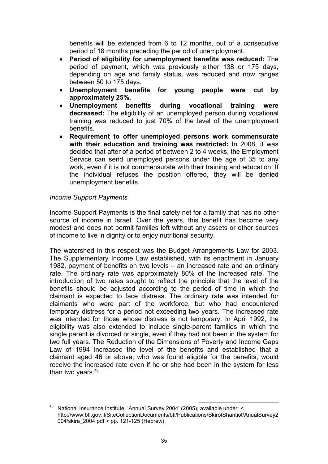benefits will be extended from 6 to 12 months, out of a consecutive period of 18 months preceding the period of unemployment.

- Period of eligibility for unemployment benefits was reduced: The period of payment, which was previously either 138 or 175 days, depending on age and family status, was reduced and now ranges between 50 to 175 days.
- Unemployment benefits for young people were cut by approximately 25%.
- Unemployment benefits during vocational training were decreased: The eligibility of an unemployed person during vocational training was reduced to just 70% of the level of the unemployment benefits.
- Requirement to offer unemployed persons work commensurate with their education and training was restricted: In 2008, it was decided that after of a period of between 2 to 4 weeks, the Employment Service can send unemployed persons under the age of 35 to any work, even if it is not commensurate with their training and education. If the individual refuses the position offered, they will be denied unemployment benefits.

# Income Support Payments

Income Support Payments is the final safety net for a family that has no other source of income in Israel. Over the years, this benefit has become very modest and does not permit families left without any assets or other sources of income to live in dignity or to enjoy nutritional security.

The watershed in this respect was the Budget Arrangements Law for 2003. The Supplementary Income Law established, with its enactment in January 1982, payment of benefits on two levels – an increased rate and an ordinary rate. The ordinary rate was approximately 80% of the increased rate. The introduction of two rates sought to reflect the principle that the level of the benefits should be adjusted according to the period of time in which the claimant is expected to face distress. The ordinary rate was intended for claimants who were part of the workforce, but who had encountered temporary distress for a period not exceeding two years. The increased rate was intended for those whose distress is not temporary. In April 1992, the eligibility was also extended to include single-parent families in which the single parent is divorced or single, even if they had not been in the system for two full years. The Reduction of the Dimensions of Poverty and Income Gaps Law of 1994 increased the level of the benefits and established that a claimant aged 46 or above, who was found eligible for the benefits, would receive the increased rate even if he or she had been in the system for less than two years. $43$ 

l <sup>43</sup> National Insurance Institute, 'Annual Survey 2004' (2005), available under: < http://www.btl.gov.il/SiteCollectionDocuments/btl/Publications/SkirotShantiot/AnualSurvey2 004/skira\_2004.pdf > pp. 121-125 (Hebrew).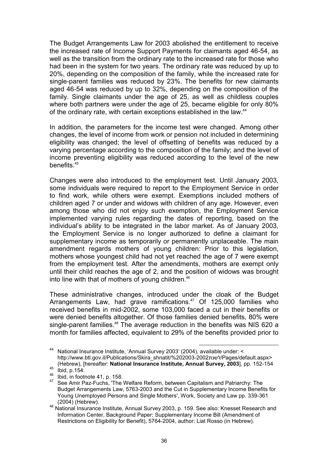The Budget Arrangements Law for 2003 abolished the entitlement to receive the increased rate of Income Support Payments for claimants aged 46-54, as well as the transition from the ordinary rate to the increased rate for those who had been in the system for two years. The ordinary rate was reduced by up to 20%, depending on the composition of the family, while the increased rate for single-parent families was reduced by 23%. The benefits for new claimants aged 46-54 was reduced by up to 32%, depending on the composition of the family. Single claimants under the age of 25, as well as childless couples where both partners were under the age of 25, became eligible for only 80% of the ordinary rate, with certain exceptions established in the law.<sup>44</sup>

In addition, the parameters for the income test were changed. Among other changes, the level of income from work or pension not included in determining eligibility was changed; the level of offsetting of benefits was reduced by a varying percentage according to the composition of the family; and the level of income preventing eligibility was reduced according to the level of the new benefits.<sup>45</sup>

Changes were also introduced to the employment test. Until January 2003, some individuals were required to report to the Employment Service in order to find work, while others were exempt. Exemptions included mothers of children aged 7 or under and widows with children of any age. However, even among those who did not enjoy such exemption, the Employment Service implemented varying rules regarding the dates of reporting, based on the individual's ability to be integrated in the labor market. As of January 2003, the Employment Service is no longer authorized to define a claimant for supplementary income as temporarily or permanently unplaceable. The main amendment regards mothers of young children: Prior to this legislation, mothers whose youngest child had not yet reached the age of 7 were exempt from the employment test. After the amendments, mothers are exempt only until their child reaches the age of 2, and the position of widows was brought into line with that of mothers of young children. $46$ 

These administrative changes, introduced under the cloak of the Budget Arrangements Law, had grave ramifications.<sup>47</sup> Of 125,000 families who received benefits in mid-2002, some 103,000 faced a cut in their benefits or were denied benefits altogether. Of those families denied benefits, 80% were single-parent families.<sup>48</sup> The average reduction in the benefits was NIS 620 a month for families affected, equivalent to 29% of the benefits provided prior to

 $\overline{a}$ <sup>44</sup> National Insurance Institute, 'Annual Survey 2003' (2004), available under: < http://www.btl.gov.il/Publications/Skira\_shnatit/%202003-2002 /rages/default.aspx> (Hebrew), [hereafter: National Insurance Institute, Annual Survey, 2003], pp. 152-154

 $45$  Ibid, p.154.

 $^{46}$  Ibid, in footnote 41, p. 158.

See Amir Paz-Fuchs, 'The Welfare Reform, between Capitalism and Patriarchy: The Budget Arrangements Law, 5763-2003 and the Cut in Supplementary Income Benefits for Young Unemployed Persons and Single Mothers', Work, Society and Law pp. 339-361 (2004) (Hebrew).

<sup>48</sup> National Insurance Institute, Annual Survey 2003, p. 159. See also: Knesset Research and Information Center, Background Paper: Supplementary Income Bill (Amendment of Restrictions on Eligibility for Benefit), 5764-2004, author: Liat Rosso (in Hebrew).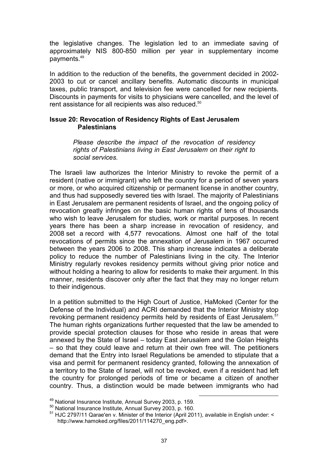the legislative changes. The legislation led to an immediate saving of approximately NIS 800-850 million per year in supplementary income payments.<sup>49</sup>

In addition to the reduction of the benefits, the government decided in 2002- 2003 to cut or cancel ancillary benefits. Automatic discounts in municipal taxes, public transport, and television fee were cancelled for new recipients. Discounts in payments for visits to physicians were cancelled, and the level of rent assistance for all recipients was also reduced.<sup>50</sup>

#### Issue 20: Revocation of Residency Rights of East Jerusalem **Palestinians**

Please describe the impact of the revocation of residency rights of Palestinians living in East Jerusalem on their right to social services.

The Israeli law authorizes the Interior Ministry to revoke the permit of a resident (native or immigrant) who left the country for a period of seven years or more, or who acquired citizenship or permanent license in another country, and thus had supposedly severed ties with Israel. The majority of Palestinians in East Jerusalem are permanent residents of Israel, and the ongoing policy of revocation greatly infringes on the basic human rights of tens of thousands who wish to leave Jerusalem for studies, work or marital purposes. In recent years there has been a sharp increase in revocation of residency, and 2008 set a record with 4,577 revocations. Almost one half of the total revocations of permits since the annexation of Jerusalem in 1967 occurred between the years 2006 to 2008. This sharp increase indicates a deliberate policy to reduce the number of Palestinians living in the city. The Interior Ministry regularly revokes residency permits without giving prior notice and without holding a hearing to allow for residents to make their argument. In this manner, residents discover only after the fact that they may no longer return to their indigenous.

In a petition submitted to the High Court of Justice, HaMoked (Center for the Defense of the Individual) and ACRI demanded that the Interior Ministry stop revoking permanent residency permits held by residents of East Jerusalem.<sup>51</sup> The human rights organizations further requested that the law be amended to provide special protection clauses for those who reside in areas that were annexed by the State of Israel – today East Jerusalem and the Golan Heights – so that they could leave and return at their own free will. The petitioners demand that the Entry into Israel Regulations be amended to stipulate that a visa and permit for permanent residency granted, following the annexation of a territory to the State of Israel, will not be revoked, even if a resident had left the country for prolonged periods of time or became a citizen of another country. Thus, a distinction would be made between immigrants who had

<sup>49</sup> National Insurance Institute, Annual Survey 2003, p. 159.

<sup>50</sup> National Insurance Institute, Annual Survey 2003, p. 160.

<sup>51</sup> HJC 2797/11 Qarae'en v. Minister of the Interior (April 2011), available in English under: < http://www.hamoked.org/files/2011/114270\_eng.pdf>.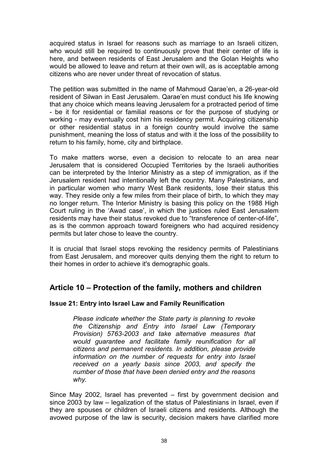acquired status in Israel for reasons such as marriage to an Israeli citizen, who would still be required to continuously prove that their center of life is here, and between residents of East Jerusalem and the Golan Heights who would be allowed to leave and return at their own will, as is acceptable among citizens who are never under threat of revocation of status.

The petition was submitted in the name of Mahmoud Qarae'en, a 26-year-old resident of Silwan in East Jerusalem. Qarae'en must conduct his life knowing that any choice which means leaving Jerusalem for a protracted period of time - be it for residential or familial reasons or for the purpose of studying or working - may eventually cost him his residency permit. Acquiring citizenship or other residential status in a foreign country would involve the same punishment, meaning the loss of status and with it the loss of the possibility to return to his family, home, city and birthplace.

To make matters worse, even a decision to relocate to an area near Jerusalem that is considered Occupied Territories by the Israeli authorities can be interpreted by the Interior Ministry as a step of immigration, as if the Jerusalem resident had intentionally left the country. Many Palestinians, and in particular women who marry West Bank residents, lose their status this way. They reside only a few miles from their place of birth, to which they may no longer return. The Interior Ministry is basing this policy on the 1988 High Court ruling in the 'Awad case', in which the justices ruled East Jerusalem residents may have their status revoked due to "transference of center-of-life", as is the common approach toward foreigners who had acquired residency permits but later chose to leave the country.

It is crucial that Israel stops revoking the residency permits of Palestinians from East Jerusalem, and moreover quits denying them the right to return to their homes in order to achieve it's demographic goals.

# Article 10 – Protection of the family, mothers and children

# Issue 21: Entry into Israel Law and Family Reunification

Please indicate whether the State party is planning to revoke the Citizenship and Entry into Israel Law (Temporary Provision) 5763-2003 and take alternative measures that would guarantee and facilitate family reunification for all citizens and permanent residents. In addition, please provide information on the number of requests for entry into Israel received on a yearly basis since 2003, and specify the number of those that have been denied entry and the reasons why.

Since May 2002, Israel has prevented – first by government decision and since 2003 by law – legalization of the status of Palestinians in Israel, even if they are spouses or children of Israeli citizens and residents. Although the avowed purpose of the law is security, decision makers have clarified more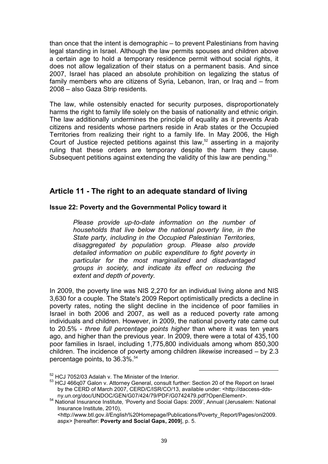than once that the intent is demographic – to prevent Palestinians from having legal standing in Israel. Although the law permits spouses and children above a certain age to hold a temporary residence permit without social rights, it does not allow legalization of their status on a permanent basis. And since 2007, Israel has placed an absolute prohibition on legalizing the status of family members who are citizens of Syria, Lebanon, Iran, or Iraq and – from 2008 – also Gaza Strip residents.

The law, while ostensibly enacted for security purposes, disproportionately harms the right to family life solely on the basis of nationality and ethnic origin. The law additionally undermines the principle of equality as it prevents Arab citizens and residents whose partners reside in Arab states or the Occupied Territories from realizing their right to a family life. In May 2006, the High Court of Justice rejected petitions against this law,<sup>52</sup> asserting in a majority ruling that these orders are temporary despite the harm they cause. Subsequent petitions against extending the validity of this law are pending.<sup>53</sup>

# Article 11 - The right to an adequate standard of living

# Issue 22: Poverty and the Governmental Policy toward it

Please provide up-to-date information on the number of households that live below the national poverty line, in the State party, including in the Occupied Palestinian Territories, disaggregated by population group. Please also provide detailed information on public expenditure to fight poverty in particular for the most marginalized and disadvantaged groups in society, and indicate its effect on reducing the extent and depth of poverty.

In 2009, the poverty line was NIS 2,270 for an individual living alone and NIS 3,630 for a couple. The State's 2009 Report optimistically predicts a decline in poverty rates, noting the slight decline in the incidence of poor families in Israel in both 2006 and 2007, as well as a reduced poverty rate among individuals and children. However, in 2009, the national poverty rate came out to 20.5% - three full percentage points higher than where it was ten years ago, and higher than the previous year. In 2009, there were a total of 435,100 poor families in Israel, including 1,775,800 individuals among whom 850,300 children. The incidence of poverty among children likewise increased – by 2.3 percentage points, to 36.3%.<sup>54</sup>

<sup>&</sup>lt;sup>52</sup> HCJ 7052/03 Adalah v. The Minister of the Interior.

<sup>53</sup> HCJ 466q07 Galon v. Attorney General, consult further: Section 20 of the Report on Israel by the CERD of March 2007, CERD/C/ISR/CO/13, available under: <http://daccess-ddsny.un.org/doc/UNDOC/GEN/G07/424/79/PDF/G0742479.pdf?OpenElement>.

<sup>54</sup> National Insurance Institute, 'Poverty and Social Gaps: 2009', Annual (Jerusalem: National Insurance Institute, 2010),

<sup>&</sup>lt;http://www.btl.gov.il/English%20Homepage/Publications/Poverty\_Report/Pages/oni2009. aspx> [hereafter: Poverty and Social Gaps, 2009], p. 5.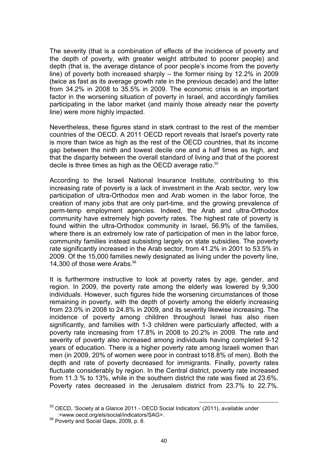The severity (that is a combination of effects of the incidence of poverty and the depth of poverty, with greater weight attributed to poorer people) and depth (that is, the average distance of poor people's income from the poverty line) of poverty both increased sharply – the former rising by 12.2% in 2009 (twice as fast as its average growth rate in the previous decade) and the latter from 34.2% in 2008 to 35.5% in 2009. The economic crisis is an important factor in the worsening situation of poverty in Israel, and accordingly families participating in the labor market (and mainly those already near the poverty line) were more highly impacted.

Nevertheless, these figures stand in stark contrast to the rest of the member countries of the OECD. A 2011 OECD report reveals that Israel's poverty rate is more than twice as high as the rest of the OECD countries, that its income gap between the ninth and lowest decile one and a half times as high, and that the disparity between the overall standard of living and that of the poorest decile is three times as high as the OECD average ratio.<sup>55</sup>

According to the Israeli National Insurance Institute, contributing to this increasing rate of poverty is a lack of investment in the Arab sector, very low participation of ultra-Orthodox men and Arab women in the labor force, the creation of many jobs that are only part-time, and the growing prevalence of perm-temp employment agencies. Indeed, the Arab and ultra-Orthodox community have extremely high poverty rates. The highest rate of poverty is found within the ultra-Orthodox community in Israel, 56.9% of the families, where there is an extremely low rate of participation of men in the labor force, community families instead subsisting largely on state subsidies. The poverty rate significantly increased in the Arab sector, from 41.2% in 2001 to 53.5% in 2009. Of the 15,000 families newly designated as living under the poverty line, 14,300 of those were Arabs.<sup>56</sup>

It is furthermore instructive to look at poverty rates by age, gender, and region. In 2009, the poverty rate among the elderly was lowered by 9,300 individuals. However, such figures hide the worsening circumstances of those remaining in poverty, with the depth of poverty among the elderly increasing from 23.0% in 2008 to 24.8% in 2009, and its severity likewise increasing. The incidence of poverty among children throughout Israel has also risen significantly, and families with 1-3 children were particularly affected, with a poverty rate increasing from 17.8% in 2008 to 20.2% in 2009. The rate and severity of poverty also increased among individuals having completed 9-12 years of education. There is a higher poverty rate among Israeli women than men (in 2009, 20% of women were poor in contrast to18.8% of men). Both the depth and rate of poverty decreased for immigrants. Finally, poverty rates fluctuate considerably by region. In the Central district, poverty rate increased from 11.3 % to 13%, while in the southern district the rate was fixed at 23.6%. Poverty rates decreased in the Jerusalem district from 23.7% to 22.7%.

l <sup>55</sup> OECD, 'Society at a Glance 2011 - OECD Social Indicators' (2011), available under :<www.oecd.org/els/social/indicators/SAG>.

<sup>56</sup> Poverty and Social Gaps, 2009, p. 8.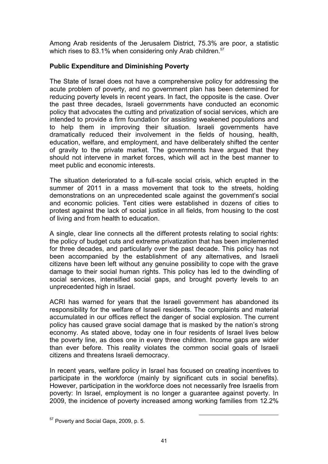Among Arab residents of the Jerusalem District, 75.3% are poor, a statistic which rises to 83.1% when considering only Arab children.<sup>57</sup>

# Public Expenditure and Diminishing Poverty

The State of Israel does not have a comprehensive policy for addressing the acute problem of poverty, and no government plan has been determined for reducing poverty levels in recent years. In fact, the opposite is the case. Over the past three decades, Israeli governments have conducted an economic policy that advocates the cutting and privatization of social services, which are intended to provide a firm foundation for assisting weakened populations and to help them in improving their situation. Israeli governments have dramatically reduced their involvement in the fields of housing, health, education, welfare, and employment, and have deliberately shifted the center of gravity to the private market. The governments have argued that they should not intervene in market forces, which will act in the best manner to meet public and economic interests.

The situation deteriorated to a full-scale social crisis, which erupted in the summer of 2011 in a mass movement that took to the streets, holding demonstrations on an unprecedented scale against the government's social and economic policies. Tent cities were established in dozens of cities to protest against the lack of social justice in all fields, from housing to the cost of living and from health to education.

A single, clear line connects all the different protests relating to social rights: the policy of budget cuts and extreme privatization that has been implemented for three decades, and particularly over the past decade. This policy has not been accompanied by the establishment of any alternatives, and Israeli citizens have been left without any genuine possibility to cope with the grave damage to their social human rights. This policy has led to the dwindling of social services, intensified social gaps, and brought poverty levels to an unprecedented high in Israel.

ACRI has warned for years that the Israeli government has abandoned its responsibility for the welfare of Israeli residents. The complaints and material accumulated in our offices reflect the danger of social explosion. The current policy has caused grave social damage that is masked by the nation's strong economy. As stated above, today one in four residents of Israel lives below the poverty line, as does one in every three children. Income gaps are wider than ever before. This reality violates the common social goals of Israeli citizens and threatens Israeli democracy.

In recent years, welfare policy in Israel has focused on creating incentives to participate in the workforce (mainly by significant cuts in social benefits). However, participation in the workforce does not necessarily free Israelis from poverty: In Israel, employment is no longer a guarantee against poverty. In 2009, the incidence of poverty increased among working families from 12.2%

<sup>57</sup> Poverty and Social Gaps, 2009, p. 5.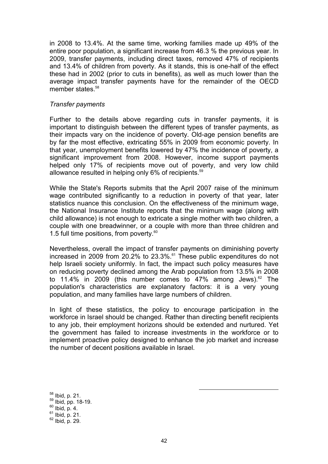in 2008 to 13.4%. At the same time, working families made up 49% of the entire poor population, a significant increase from 46.3 % the previous year. In 2009, transfer payments, including direct taxes, removed 47% of recipients and 13.4% of children from poverty. As it stands, this is one-half of the effect these had in 2002 (prior to cuts in benefits), as well as much lower than the average impact transfer payments have for the remainder of the OECD member states.<sup>58</sup>

#### Transfer payments

Further to the details above regarding cuts in transfer payments, it is important to distinguish between the different types of transfer payments, as their impacts vary on the incidence of poverty. Old-age pension benefits are by far the most effective, extricating 55% in 2009 from economic poverty. In that year, unemployment benefits lowered by 47% the incidence of poverty, a significant improvement from 2008. However, income support payments helped only 17% of recipients move out of poverty, and very low child allowance resulted in helping only 6% of recipients. 59

While the State's Reports submits that the April 2007 raise of the minimum wage contributed significantly to a reduction in poverty of that year, later statistics nuance this conclusion. On the effectiveness of the minimum wage, the National Insurance Institute reports that the minimum wage (along with child allowance) is not enough to extricate a single mother with two children, a couple with one breadwinner, or a couple with more than three children and 1.5 full time positions, from poverty. $60$ 

Nevertheless, overall the impact of transfer payments on diminishing poverty increased in 2009 from 20.2% to 23.3%.<sup>61</sup> These public expenditures do not help Israeli society uniformly. In fact, the impact such policy measures have on reducing poverty declined among the Arab population from 13.5% in 2008 to 11.4% in 2009 (this number comes to 47% among Jews).<sup>62</sup> The population's characteristics are explanatory factors: it is a very young population, and many families have large numbers of children.

In light of these statistics, the policy to encourage participation in the workforce in Israel should be changed. Rather than directing benefit recipients to any job, their employment horizons should be extended and nurtured. Yet the government has failed to increase investments in the workforce or to implement proactive policy designed to enhance the job market and increase the number of decent positions available in Israel.

 Ibid, p. 21. Ibid, pp. 18-19. Ibid, p. 4. lbid, p. 21. Ibid, p. 29.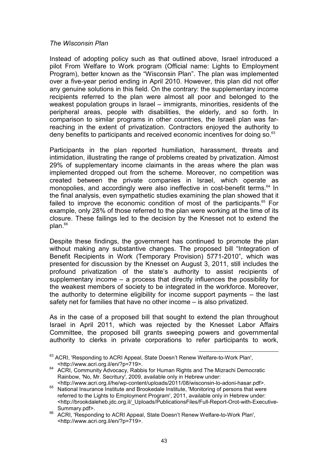### The Wisconsin Plan

Instead of adopting policy such as that outlined above, Israel introduced a pilot From Welfare to Work program (Official name: Lights to Employment Program), better known as the "Wisconsin Plan". The plan was implemented over a five-year period ending in April 2010. However, this plan did not offer any genuine solutions in this field. On the contrary: the supplementary income recipients referred to the plan were almost all poor and belonged to the weakest population groups in Israel – immigrants, minorities, residents of the peripheral areas, people with disabilities, the elderly, and so forth. In comparison to similar programs in other countries, the Israeli plan was farreaching in the extent of privatization. Contractors enjoyed the authority to deny benefits to participants and received economic incentives for doing so. $^{63}$ 

Participants in the plan reported humiliation, harassment, threats and intimidation, illustrating the range of problems created by privatization. Almost 29% of supplementary income claimants in the areas where the plan was implemented dropped out from the scheme. Moreover, no competition was created between the private companies in Israel, which operate as monopolies, and accordingly were also ineffective in cost-benefit terms.<sup>64</sup> In the final analysis, even sympathetic studies examining the plan showed that it failed to improve the economic condition of most of the participants.<sup>65</sup> For example, only 28% of those referred to the plan were working at the time of its closure. These failings led to the decision by the Knesset not to extend the plan.<sup>66</sup>

Despite these findings, the government has continued to promote the plan without making any substantive changes. The proposed bill "Integration of Benefit Recipients in Work (Temporary Provision) 5771-2010", which was presented for discussion by the Knesset on August 3, 2011, still includes the profound privatization of the state's authority to assist recipients of supplementary income – a process that directly influences the possibility for the weakest members of society to be integrated in the workforce. Moreover, the authority to determine eligibility for income support payments – the last safety net for families that have no other income – is also privatized.

As in the case of a proposed bill that sought to extend the plan throughout Israel in April 2011, which was rejected by the Knesset Labor Affairs Committee, the proposed bill grants sweeping powers and governmental authority to clerks in private corporations to refer participants to work,

 $\overline{a}$ <sup>63</sup> ACRI, 'Responding to ACRI Appeal, State Doesn't Renew Welfare-to-Work Plan', <http://www.acri.org.il/en/?p=719>.

<sup>&</sup>lt;sup>64</sup> ACRI, Community Advocacy, Rabbis for Human Rights and The Mizrachi Democratic Rainbow, 'No, Mr. Secritury', 2009, available only in Hebrew under:

<sup>&</sup>lt;http://www.acri.org.il/he/wp-content/uploads/2011/08/wisconsin-lo-adoni-hasar.pdf>. <sup>65</sup> National Insurance Institute and Brookedale Institute, 'Monitoring of persons that were referred to the Lights to Employment Program', 2011, available only in Hebrew under: <http://brookdaleheb.jdc.org.il/\_Uploads/PublicationsFiles/Full-Report-Orot-with-Executive-Summary.pdf>.

<sup>66</sup> ACRI, 'Responding to ACRI Appeal, State Doesn't Renew Welfare-to-Work Plan', <http://www.acri.org.il/en/?p=719>.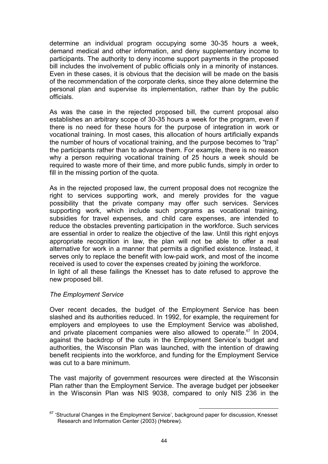determine an individual program occupying some 30-35 hours a week, demand medical and other information, and deny supplementary income to participants. The authority to deny income support payments in the proposed bill includes the involvement of public officials only in a minority of instances. Even in these cases, it is obvious that the decision will be made on the basis of the recommendation of the corporate clerks, since they alone determine the personal plan and supervise its implementation, rather than by the public officials.

As was the case in the rejected proposed bill, the current proposal also establishes an arbitrary scope of 30-35 hours a week for the program, even if there is no need for these hours for the purpose of integration in work or vocational training. In most cases, this allocation of hours artificially expands the number of hours of vocational training, and the purpose becomes to "trap" the participants rather than to advance them. For example, there is no reason why a person requiring vocational training of 25 hours a week should be required to waste more of their time, and more public funds, simply in order to fill in the missing portion of the quota.

As in the rejected proposed law, the current proposal does not recognize the right to services supporting work, and merely provides for the vague possibility that the private company may offer such services. Services supporting work, which include such programs as vocational training, subsidies for travel expenses, and child care expenses, are intended to reduce the obstacles preventing participation in the workforce. Such services are essential in order to realize the objective of the law. Until this right enjoys appropriate recognition in law, the plan will not be able to offer a real alternative for work in a manner that permits a dignified existence. Instead, it serves only to replace the benefit with low-paid work, and most of the income received is used to cover the expenses created by joining the workforce. In light of all these failings the Knesset has to date refused to approve the new proposed bill.

# The Employment Service

Over recent decades, the budget of the Employment Service has been slashed and its authorities reduced. In 1992, for example, the requirement for employers and employees to use the Employment Service was abolished, and private placement companies were also allowed to operate.<sup>67</sup> In 2004, against the backdrop of the cuts in the Employment Service's budget and authorities, the Wisconsin Plan was launched, with the intention of drawing benefit recipients into the workforce, and funding for the Employment Service was cut to a bare minimum.

The vast majority of government resources were directed at the Wisconsin Plan rather than the Employment Service. The average budget per jobseeker in the Wisconsin Plan was NIS 9038, compared to only NIS 236 in the

 $\overline{a}$  $67$  'Structural Changes in the Employment Service', background paper for discussion, Knesset Research and Information Center (2003) (Hebrew).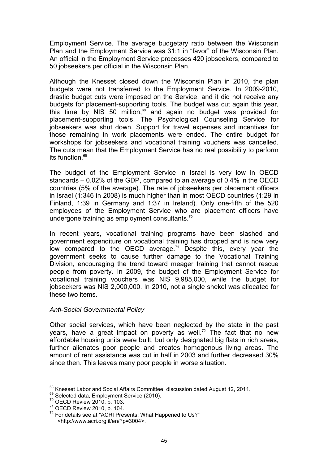Employment Service. The average budgetary ratio between the Wisconsin Plan and the Employment Service was 31:1 in "favor" of the Wisconsin Plan. An official in the Employment Service processes 420 jobseekers, compared to 50 jobseekers per official in the Wisconsin Plan.

Although the Knesset closed down the Wisconsin Plan in 2010, the plan budgets were not transferred to the Employment Service. In 2009-2010, drastic budget cuts were imposed on the Service, and it did not receive any budgets for placement-supporting tools. The budget was cut again this year, this time by NIS 50 million. $68$  and again no budget was provided for placement-supporting tools. The Psychological Counseling Service for jobseekers was shut down. Support for travel expenses and incentives for those remaining in work placements were ended. The entire budget for workshops for jobseekers and vocational training vouchers was cancelled. The cuts mean that the Employment Service has no real possibility to perform its function.<sup>69</sup>

The budget of the Employment Service in Israel is very low in OECD standards – 0.02% of the GDP, compared to an average of 0.4% in the OECD countries (5% of the average). The rate of jobseekers per placement officers in Israel (1:346 in 2008) is much higher than in most OECD countries (1:29 in Finland, 1:39 in Germany and 1:37 in Ireland). Only one-fifth of the 520 employees of the Employment Service who are placement officers have undergone training as employment consultants.<sup>70</sup>

In recent years, vocational training programs have been slashed and government expenditure on vocational training has dropped and is now very low compared to the OECD average.<sup>71</sup> Despite this, every year the government seeks to cause further damage to the Vocational Training Division, encouraging the trend toward meager training that cannot rescue people from poverty. In 2009, the budget of the Employment Service for vocational training vouchers was NIS 9,985,000, while the budget for jobseekers was NIS 2,000,000. In 2010, not a single shekel was allocated for these two items.

#### Anti-Social Governmental Policy

Other social services, which have been neglected by the state in the past years, have a great impact on poverty as well.<sup>72</sup> The fact that no new affordable housing units were built, but only designated big flats in rich areas, further alienates poor people and creates homogenous living areas. The amount of rent assistance was cut in half in 2003 and further decreased 30% since then. This leaves many poor people in worse situation.

 $\overline{a}$  $^{68}$  Knesset Labor and Social Affairs Committee, discussion dated August 12, 2011.

<sup>&</sup>lt;sup>69</sup> Selected data, Employment Service (2010).

<sup>70</sup> OECD Review 2010, p. 103.

<sup>71</sup> OECD Review 2010, p. 104.

<sup>72</sup> For details see at "ACRI Presents: What Happened to Us?" <http://www.acri.org.il/en/?p=3004>.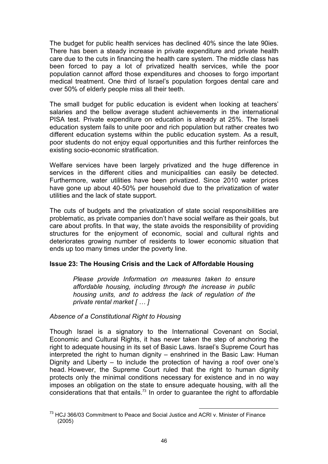The budget for public health services has declined 40% since the late 90ies. There has been a steady increase in private expenditure and private health care due to the cuts in financing the health care system. The middle class has been forced to pay a lot of privatized health services, while the poor population cannot afford those expenditures and chooses to forgo important medical treatment. One third of Israel's population forgoes dental care and over 50% of elderly people miss all their teeth.

The small budget for public education is evident when looking at teachers' salaries and the bellow average student achievements in the international PISA test. Private expenditure on education is already at 25%. The Israeli education system fails to unite poor and rich population but rather creates two different education systems within the public education system. As a result, poor students do not enjoy equal opportunities and this further reinforces the existing socio-economic stratification.

Welfare services have been largely privatized and the huge difference in services in the different cities and municipalities can easily be detected. Furthermore, water utilities have been privatized. Since 2010 water prices have gone up about 40-50% per household due to the privatization of water utilities and the lack of state support.

The cuts of budgets and the privatization of state social responsibilities are problematic, as private companies don't have social welfare as their goals, but care about profits. In that way, the state avoids the responsibility of providing structures for the enjoyment of economic, social and cultural rights and deteriorates growing number of residents to lower economic situation that ends up too many times under the poverty line.

# Issue 23: The Housing Crisis and the Lack of Affordable Housing

Please provide Information on measures taken to ensure affordable housing, including through the increase in public housing units, and to address the lack of regulation of the private rental market [ … ]

Absence of a Constitutional Right to Housing

Though Israel is a signatory to the International Covenant on Social, Economic and Cultural Rights, it has never taken the step of anchoring the right to adequate housing in its set of Basic Laws. Israel's Supreme Court has interpreted the right to human dignity – enshrined in the Basic Law: Human Dignity and Liberty – to include the protection of having a roof over one's head. However, the Supreme Court ruled that the right to human dignity protects only the minimal conditions necessary for existence and in no way imposes an obligation on the state to ensure adequate housing, with all the considerations that that entails.<sup>73</sup> In order to quarantee the right to affordable

 $\overline{a}$  $^{73}$  HCJ 366/03 Commitment to Peace and Social Justice and ACRI v. Minister of Finance (2005)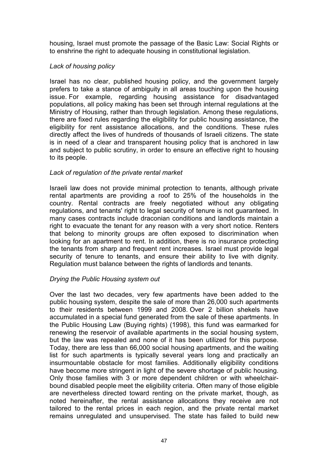housing, Israel must promote the passage of the Basic Law: Social Rights or to enshrine the right to adequate housing in constitutional legislation.

# Lack of housing policy

Israel has no clear, published housing policy, and the government largely prefers to take a stance of ambiguity in all areas touching upon the housing issue. For example, regarding housing assistance for disadvantaged populations, all policy making has been set through internal regulations at the Ministry of Housing, rather than through legislation. Among these regulations, there are fixed rules regarding the eligibility for public housing assistance, the eligibility for rent assistance allocations, and the conditions. These rules directly affect the lives of hundreds of thousands of Israeli citizens. The state is in need of a clear and transparent housing policy that is anchored in law and subject to public scrutiny, in order to ensure an effective right to housing to its people.

# Lack of regulation of the private rental market

Israeli law does not provide minimal protection to tenants, although private rental apartments are providing a roof to 25% of the households in the country. Rental contracts are freely negotiated without any obligating regulations, and tenants' right to legal security of tenure is not guaranteed. In many cases contracts include draconian conditions and landlords maintain a right to evacuate the tenant for any reason with a very short notice. Renters that belong to minority groups are often exposed to discrimination when looking for an apartment to rent. In addition, there is no insurance protecting the tenants from sharp and frequent rent increases. Israel must provide legal security of tenure to tenants, and ensure their ability to live with dignity. Regulation must balance between the rights of landlords and tenants.

# Drying the Public Housing system out

Over the last two decades, very few apartments have been added to the public housing system, despite the sale of more than 26,000 such apartments to their residents between 1999 and 2008. Over 2 billion shekels have accumulated in a special fund generated from the sale of these apartments. In the Public Housing Law (Buying rights) (1998), this fund was earmarked for renewing the reservoir of available apartments in the social housing system, but the law was repealed and none of it has been utilized for this purpose. Today, there are less than 66,000 social housing apartments, and the waiting list for such apartments is typically several years long and practically an insurmountable obstacle for most families. Additionally eligibility conditions have become more stringent in light of the severe shortage of public housing. Only those families with 3 or more dependent children or with wheelchairbound disabled people meet the eligibility criteria. Often many of those eligible are nevertheless directed toward renting on the private market, though, as noted hereinafter, the rental assistance allocations they receive are not tailored to the rental prices in each region, and the private rental market remains unregulated and unsupervised. The state has failed to build new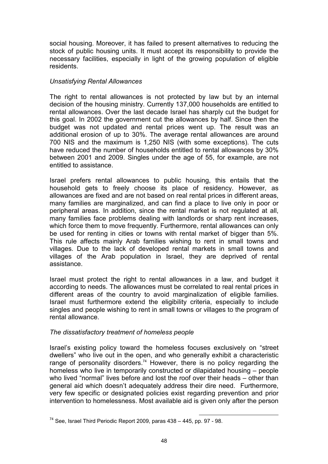social housing. Moreover, it has failed to present alternatives to reducing the stock of public housing units. It must accept its responsibility to provide the necessary facilities, especially in light of the growing population of eligible residents.

# Unsatisfying Rental Allowances

The right to rental allowances is not protected by law but by an internal decision of the housing ministry. Currently 137,000 households are entitled to rental allowances. Over the last decade Israel has sharply cut the budget for this goal. In 2002 the government cut the allowances by half. Since then the budget was not updated and rental prices went up. The result was an additional erosion of up to 30%. The average rental allowances are around 700 NIS and the maximum is 1,250 NIS (with some exceptions). The cuts have reduced the number of households entitled to rental allowances by 30% between 2001 and 2009. Singles under the age of 55, for example, are not entitled to assistance.

Israel prefers rental allowances to public housing, this entails that the household gets to freely choose its place of residency. However, as allowances are fixed and are not based on real rental prices in different areas, many families are marginalized, and can find a place to live only in poor or peripheral areas. In addition, since the rental market is not regulated at all, many families face problems dealing with landlords or sharp rent increases, which force them to move frequently. Furthermore, rental allowances can only be used for renting in cities or towns with rental market of bigger than 5%. This rule affects mainly Arab families wishing to rent in small towns and villages. Due to the lack of developed rental markets in small towns and villages of the Arab population in Israel, they are deprived of rental assistance.

Israel must protect the right to rental allowances in a law, and budget it according to needs. The allowances must be correlated to real rental prices in different areas of the country to avoid marginalization of eligible families. Israel must furthermore extend the eligibility criteria, especially to include singles and people wishing to rent in small towns or villages to the program of rental allowance.

# The dissatisfactory treatment of homeless people

Israel's existing policy toward the homeless focuses exclusively on "street dwellers" who live out in the open, and who generally exhibit a characteristic range of personality disorders.<sup>74</sup> However, there is no policy regarding the homeless who live in temporarily constructed or dilapidated housing – people who lived "normal" lives before and lost the roof over their heads – other than general aid which doesn't adequately address their dire need. Furthermore, very few specific or designated policies exist regarding prevention and prior intervention to homelessness. Most available aid is given only after the person

 $\overline{a}$  $74$  See, Israel Third Periodic Report 2009, paras 438 – 445, pp. 97 - 98.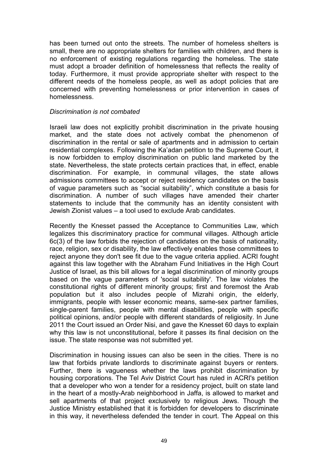has been turned out onto the streets. The number of homeless shelters is small, there are no appropriate shelters for families with children, and there is no enforcement of existing regulations regarding the homeless. The state must adopt a broader definition of homelessness that reflects the reality of today. Furthermore, it must provide appropriate shelter with respect to the different needs of the homeless people, as well as adopt policies that are concerned with preventing homelessness or prior intervention in cases of homelessness.

### Discrimination is not combated

Israeli law does not explicitly prohibit discrimination in the private housing market, and the state does not actively combat the phenomenon of discrimination in the rental or sale of apartments and in admission to certain residential complexes. Following the Ka'adan petition to the Supreme Court, it is now forbidden to employ discrimination on public land marketed by the state. Nevertheless, the state protects certain practices that, in effect, enable discrimination. For example, in communal villages, the state allows admissions committees to accept or reject residency candidates on the basis of vague parameters such as "social suitability", which constitute a basis for discrimination. A number of such villages have amended their charter statements to include that the community has an identity consistent with Jewish Zionist values – a tool used to exclude Arab candidates.

Recently the Knesset passed the Acceptance to Communities Law, which legalizes this discriminatory practice for communal villages. Although article 6c(3) of the law forbids the rejection of candidates on the basis of nationality, race, religion, sex or disability, the law effectively enables those committees to reject anyone they don't see fit due to the vague criteria applied. ACRI fought against this law together with the Abraham Fund Initiatives in the High Court Justice of Israel, as this bill allows for a legal discrimination of minority groups based on the vague parameters of 'social suitability'. The law violates the constitutional rights of different minority groups; first and foremost the Arab population but it also includes people of Mizrahi origin, the elderly, immigrants, people with lesser economic means, same-sex partner families, single-parent families, people with mental disabilities, people with specific political opinions, and/or people with different standards of religiosity. In June 2011 the Court issued an Order Nisi, and gave the Knesset 60 days to explain why this law is not unconstitutional, before it passes its final decision on the issue. The state response was not submitted yet.

Discrimination in housing issues can also be seen in the cities. There is no law that forbids private landlords to discriminate against buyers or renters. Further, there is vagueness whether the laws prohibit discrimination by housing corporations. The Tel Aviv District Court has ruled in ACRI's petition that a developer who won a tender for a residency project, built on state land in the heart of a mostly-Arab neighborhood in Jaffa, is allowed to market and sell apartments of that project exclusively to religious Jews. Though the Justice Ministry established that it is forbidden for developers to discriminate in this way, it nevertheless defended the tender in court. The Appeal on this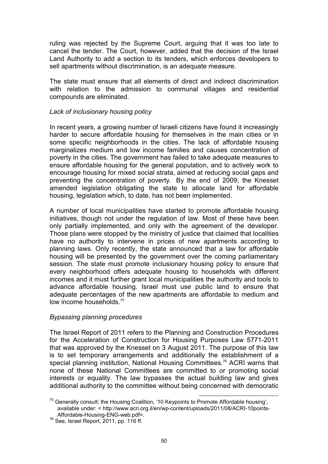ruling was rejected by the Supreme Court, arguing that it was too late to cancel the tender. The Court, however, added that the decision of the Israel Land Authority to add a section to its tenders, which enforces developers to sell apartments without discrimination, is an adequate measure.

The state must ensure that all elements of direct and indirect discrimination with relation to the admission to communal villages and residential compounds are eliminated.

# Lack of inclusionary housing policy

In recent years, a growing number of Israeli citizens have found it increasingly harder to secure affordable housing for themselves in the main cities or in some specific neighborhoods in the cities. The lack of affordable housing marginalizes medium and low income families and causes concentration of poverty in the cities. The government has failed to take adequate measures to ensure affordable housing for the general population, and to actively work to encourage housing for mixed social strata, aimed at reducing social gaps and preventing the concentration of poverty. By the end of 2009, the Knesset amended legislation obligating the state to allocate land for affordable housing, legislation which, to date, has not been implemented.

A number of local municipalities have started to promote affordable housing initiatives, though not under the regulation of law. Most of these have been only partially implemented, and only with the agreement of the developer. Those plans were stopped by the ministry of justice that claimed that localities have no authority to intervene in prices of new apartments according to planning laws. Only recently, the state announced that a law for affordable housing will be presented by the government over the coming parliamentary session. The state must promote inclusionary housing policy to ensure that every neighborhood offers adequate housing to households with different incomes and it must further grant local municipalities the authority and tools to advance affordable housing. Israel must use public land to ensure that adequate percentages of the new apartments are affordable to medium and low income households.<sup>75</sup>

# Bypassing planning procedures

The Israel Report of 2011 refers to the Planning and Construction Procedures for the Acceleration of Construction for Housing Purposes Law 5771-2011 that was approved by the Knesset on 3 August 2011. The purpose of this law is to set temporary arrangements and additionally the establishment of a special planning institution, National Housing Committees.<sup>76</sup> ACRI warns that none of these National Committees are committed to or promoting social interests or equality. The law bypasses the actual building law and gives additional authority to the committee without being concerned with democratic

 $\overline{a}$ <sup>75</sup> Generally consult: the Housing Coalition, '10 Keypoints to Promote Affordable housing', available under: < http://www.acri.org.il/en/wp-content/uploads/2011/08/ACRI-10points-Affordable-Housing-ENG-web.pdf>.

<sup>76</sup> See, Israel Report, 2011, pp. 116 ff.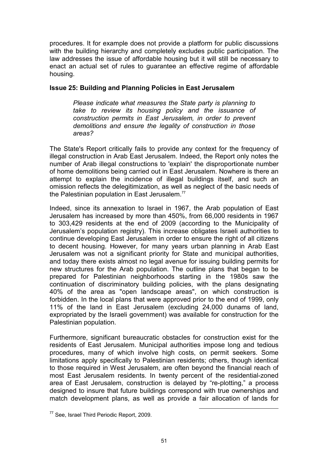procedures. It for example does not provide a platform for public discussions with the building hierarchy and completely excludes public participation. The law addresses the issue of affordable housing but it will still be necessary to enact an actual set of rules to guarantee an effective regime of affordable housing.

### Issue 25: Building and Planning Policies in East Jerusalem

Please indicate what measures the State party is planning to take to review its housing policy and the issuance of construction permits in East Jerusalem, in order to prevent demolitions and ensure the legality of construction in those areas?

The State's Report critically fails to provide any context for the frequency of illegal construction in Arab East Jerusalem. Indeed, the Report only notes the number of Arab illegal constructions to 'explain' the disproportionate number of home demolitions being carried out in East Jerusalem. Nowhere is there an attempt to explain the incidence of illegal buildings itself, and such an omission reflects the delegitimization, as well as neglect of the basic needs of the Palestinian population in East Jerusalem.<sup>77</sup>

Indeed, since its annexation to Israel in 1967, the Arab population of East Jerusalem has increased by more than 450%, from 66,000 residents in 1967 to 303,429 residents at the end of 2009 (according to the Municipality of Jerusalem's population registry). This increase obligates Israeli authorities to continue developing East Jerusalem in order to ensure the right of all citizens to decent housing. However, for many years urban planning in Arab East Jerusalem was not a significant priority for State and municipal authorities, and today there exists almost no legal avenue for issuing building permits for new structures for the Arab population. The outline plans that began to be prepared for Palestinian neighborhoods starting in the 1980s saw the continuation of discriminatory building policies, with the plans designating 40% of the area as "open landscape areas", on which construction is forbidden. In the local plans that were approved prior to the end of 1999, only 11% of the land in East Jerusalem (excluding 24,000 dunams of land, expropriated by the Israeli government) was available for construction for the Palestinian population.

Furthermore, significant bureaucratic obstacles for construction exist for the residents of East Jerusalem. Municipal authorities impose long and tedious procedures, many of which involve high costs, on permit seekers. Some limitations apply specifically to Palestinian residents; others, though identical to those required in West Jerusalem, are often beyond the financial reach of most East Jerusalem residents. In twenty percent of the residential-zoned area of East Jerusalem, construction is delayed by "re-plotting," a process designed to insure that future buildings correspond with true ownerships and match development plans, as well as provide a fair allocation of lands for

<sup>77</sup> See, Israel Third Periodic Report, 2009.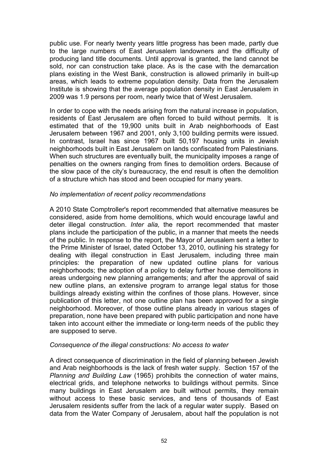public use. For nearly twenty years little progress has been made, partly due to the large numbers of East Jerusalem landowners and the difficulty of producing land title documents. Until approval is granted, the land cannot be sold, nor can construction take place. As is the case with the demarcation plans existing in the West Bank, construction is allowed primarily in built-up areas, which leads to extreme population density. Data from the Jerusalem Institute is showing that the average population density in East Jerusalem in 2009 was 1.9 persons per room, nearly twice that of West Jerusalem.

In order to cope with the needs arising from the natural increase in population, residents of East Jerusalem are often forced to build without permits. It is estimated that of the 19,900 units built in Arab neighborhoods of East Jerusalem between 1967 and 2001, only 3,100 building permits were issued. In contrast, Israel has since 1967 built 50,197 housing units in Jewish neighborhoods built in East Jerusalem on lands confiscated from Palestinians. When such structures are eventually built, the municipality imposes a range of penalties on the owners ranging from fines to demolition orders. Because of the slow pace of the city's bureaucracy, the end result is often the demolition of a structure which has stood and been occupied for many years.

#### No implementation of recent policy recommendations

A 2010 State Comptroller's report recommended that alternative measures be considered, aside from home demolitions, which would encourage lawful and deter illegal construction. Inter alia, the report recommended that master plans include the participation of the public, in a manner that meets the needs of the public. In response to the report, the Mayor of Jerusalem sent a letter to the Prime Minister of Israel, dated October 13, 2010, outlining his strategy for dealing with illegal construction in East Jerusalem, including three main principles: the preparation of new updated outline plans for various neighborhoods; the adoption of a policy to delay further house demolitions in areas undergoing new planning arrangements; and after the approval of said new outline plans, an extensive program to arrange legal status for those buildings already existing within the confines of those plans. However, since publication of this letter, not one outline plan has been approved for a single neighborhood. Moreover, of those outline plans already in various stages of preparation, none have been prepared with public participation and none have taken into account either the immediate or long-term needs of the public they are supposed to serve.

# Consequence of the illegal constructions: No access to water

A direct consequence of discrimination in the field of planning between Jewish and Arab neighborhoods is the lack of fresh water supply. Section 157 of the Planning and Building Law (1965) prohibits the connection of water mains, electrical grids, and telephone networks to buildings without permits. Since many buildings in East Jerusalem are built without permits, they remain without access to these basic services, and tens of thousands of East Jerusalem residents suffer from the lack of a regular water supply. Based on data from the Water Company of Jerusalem, about half the population is not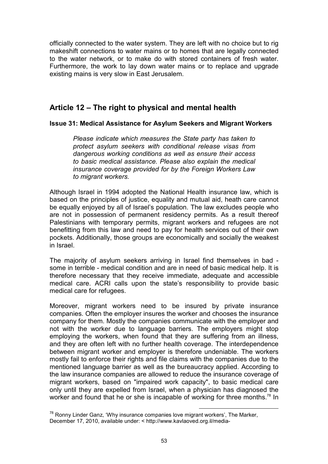officially connected to the water system. They are left with no choice but to rig makeshift connections to water mains or to homes that are legally connected to the water network, or to make do with stored containers of fresh water. Furthermore, the work to lay down water mains or to replace and upgrade existing mains is very slow in East Jerusalem.

# Article 12 – The right to physical and mental health

# Issue 31: Medical Assistance for Asylum Seekers and Migrant Workers

Please indicate which measures the State party has taken to protect asylum seekers with conditional release visas from dangerous working conditions as well as ensure their access to basic medical assistance. Please also explain the medical insurance coverage provided for by the Foreign Workers Law to migrant workers.

Although Israel in 1994 adopted the National Health insurance law, which is based on the principles of justice, equality and mutual aid, heath care cannot be equally enjoyed by all of Israel's population. The law excludes people who are not in possession of permanent residency permits. As a result thereof Palestinians with temporary permits, migrant workers and refugees are not benefitting from this law and need to pay for health services out of their own pockets. Additionally, those groups are economically and socially the weakest in Israel.

The majority of asylum seekers arriving in Israel find themselves in bad some in terrible - medical condition and are in need of basic medical help. It is therefore necessary that they receive immediate, adequate and accessible medical care. ACRI calls upon the state's responsibility to provide basic medical care for refugees.

Moreover, migrant workers need to be insured by private insurance companies. Often the employer insures the worker and chooses the insurance company for them. Mostly the companies communicate with the employer and not with the worker due to language barriers. The employers might stop employing the workers, when found that they are suffering from an illness, and they are often left with no further health coverage. The interdependence between migrant worker and employer is therefore undeniable. The workers mostly fail to enforce their rights and file claims with the companies due to the mentioned language barrier as well as the bureaucracy applied. According to the law insurance companies are allowed to reduce the insurance coverage of migrant workers, based on "impaired work capacity", to basic medical care only until they are expelled from Israel, when a physician has diagnosed the worker and found that he or she is incapable of working for three months.<sup>78</sup> In

 $\overline{a}$  $^{78}$  Ronny Linder Ganz, 'Why insurance companies love migrant workers', The Marker, December 17, 2010, available under: < http://www.kavlaoved.org.il/media-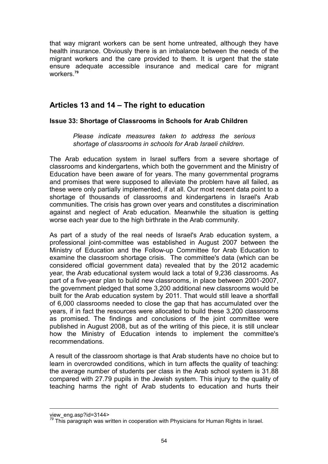that way migrant workers can be sent home untreated, although they have health insurance. Obviously there is an imbalance between the needs of the migrant workers and the care provided to them. It is urgent that the state ensure adequate accessible insurance and medical care for migrant workers<sup>79</sup>

# Articles 13 and 14 – The right to education

# Issue 33: Shortage of Classrooms in Schools for Arab Children

Please indicate measures taken to address the serious shortage of classrooms in schools for Arab Israeli children.

The Arab education system in Israel suffers from a severe shortage of classrooms and kindergartens, which both the government and the Ministry of Education have been aware of for years. The many governmental programs and promises that were supposed to alleviate the problem have all failed, as these were only partially implemented, if at all. Our most recent data point to a shortage of thousands of classrooms and kindergartens in Israel's Arab communities. The crisis has grown over years and constitutes a discrimination against and neglect of Arab education. Meanwhile the situation is getting worse each year due to the high birthrate in the Arab community.

As part of a study of the real needs of Israel's Arab education system, a professional joint-committee was established in August 2007 between the Ministry of Education and the Follow-up Committee for Arab Education to examine the classroom shortage crisis. The committee's data (which can be considered official government data) revealed that by the 2012 academic year, the Arab educational system would lack a total of 9,236 classrooms. As part of a five-year plan to build new classrooms, in place between 2001-2007, the government pledged that some 3,200 additional new classrooms would be built for the Arab education system by 2011. That would still leave a shortfall of 6,000 classrooms needed to close the gap that has accumulated over the years, if in fact the resources were allocated to build these 3,200 classrooms as promised. The findings and conclusions of the joint committee were published in August 2008, but as of the writing of this piece, it is still unclear how the Ministry of Education intends to implement the committee's recommendations.

A result of the classroom shortage is that Arab students have no choice but to learn in overcrowded conditions, which in turn affects the quality of teaching: the average number of students per class in the Arab school system is 31.88 compared with 27.79 pupils in the Jewish system. This injury to the quality of teaching harms the right of Arab students to education and hurts their

 $\overline{a}$ view\_eng.asp?id=3144>

 $79$  This paragraph was written in cooperation with Physicians for Human Rights in Israel.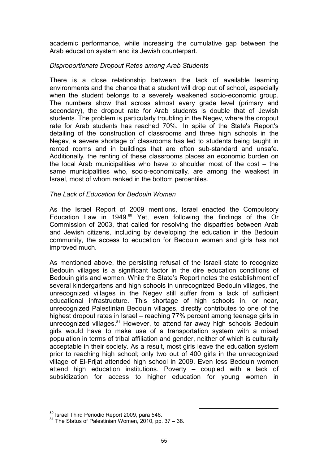academic performance, while increasing the cumulative gap between the Arab education system and its Jewish counterpart.

# Disproportionate Dropout Rates among Arab Students

There is a close relationship between the lack of available learning environments and the chance that a student will drop out of school, especially when the student belongs to a severely weakened socio-economic group. The numbers show that across almost every grade level (primary and secondary), the dropout rate for Arab students is double that of Jewish students. The problem is particularly troubling in the Negev, where the dropout rate for Arab students has reached 70%. In spite of the State's Report's detailing of the construction of classrooms and three high schools in the Negev, a severe shortage of classrooms has led to students being taught in rented rooms and in buildings that are often sub-standard and unsafe. Additionally, the renting of these classrooms places an economic burden on the local Arab municipalities who have to shoulder most of the cost – the same municipalities who, socio-economically, are among the weakest in Israel, most of whom ranked in the bottom percentiles.

# The Lack of Education for Bedouin Women

As the Israel Report of 2009 mentions, Israel enacted the Compulsory Education Law in 1949. $80$  Yet, even following the findings of the Or Commission of 2003, that called for resolving the disparities between Arab and Jewish citizens, including by developing the education in the Bedouin community, the access to education for Bedouin women and girls has not improved much.

As mentioned above, the persisting refusal of the Israeli state to recognize Bedouin villages is a significant factor in the dire education conditions of Bedouin girls and women. While the State's Report notes the establishment of several kindergartens and high schools in unrecognized Bedouin villages, the unrecognized villages in the Negev still suffer from a lack of sufficient educational infrastructure. This shortage of high schools in, or near, unrecognized Palestinian Bedouin villages, directly contributes to one of the highest dropout rates in Israel – reaching 77% percent among teenage girls in unrecognized villages.<sup>81</sup> However, to attend far away high schools Bedouin girls would have to make use of a transportation system with a mixed population in terms of tribal affiliation and gender, neither of which is culturally acceptable in their society. As a result, most girls leave the education system prior to reaching high school; only two out of 400 girls in the unrecognized village of El-Frijat attended high school in 2009. Even less Bedouin women attend high education institutions. Poverty – coupled with a lack of subsidization for access to higher education for young women in

<sup>80</sup> Israel Third Periodic Report 2009, para 546.

 $81$  The Status of Palestinian Women, 2010, pp. 37 - 38.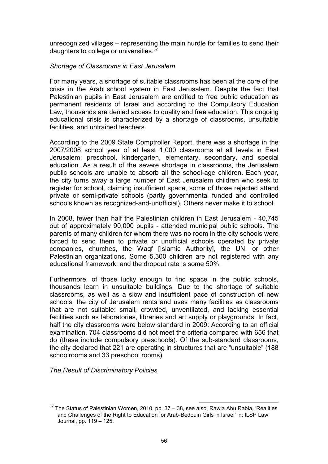unrecognized villages – representing the main hurdle for families to send their daughters to college or universities.<sup>82</sup>

### Shortage of Classrooms in East Jerusalem

For many years, a shortage of suitable classrooms has been at the core of the crisis in the Arab school system in East Jerusalem. Despite the fact that Palestinian pupils in East Jerusalem are entitled to free public education as permanent residents of Israel and according to the Compulsory Education Law, thousands are denied access to quality and free education. This ongoing educational crisis is characterized by a shortage of classrooms, unsuitable facilities, and untrained teachers.

According to the 2009 State Comptroller Report, there was a shortage in the 2007/2008 school year of at least 1,000 classrooms at all levels in East Jerusalem: preschool, kindergarten, elementary, secondary, and special education. As a result of the severe shortage in classrooms, the Jerusalem public schools are unable to absorb all the school-age children. Each year, the city turns away a large number of East Jerusalem children who seek to register for school, claiming insufficient space, some of those rejected attend private or semi-private schools (partly governmental funded and controlled schools known as recognized-and-unofficial). Others never make it to school.

In 2008, fewer than half the Palestinian children in East Jerusalem - 40,745 out of approximately 90,000 pupils - attended municipal public schools. The parents of many children for whom there was no room in the city schools were forced to send them to private or unofficial schools operated by private companies, churches, the Waqf [Islamic Authority], the UN, or other Palestinian organizations. Some 5,300 children are not registered with any educational framework; and the dropout rate is some 50%.

Furthermore, of those lucky enough to find space in the public schools, thousands learn in unsuitable buildings. Due to the shortage of suitable classrooms, as well as a slow and insufficient pace of construction of new schools, the city of Jerusalem rents and uses many facilities as classrooms that are not suitable: small, crowded, unventilated, and lacking essential facilities such as laboratories, libraries and art supply or playgrounds. In fact, half the city classrooms were below standard in 2009: According to an official examination, 704 classrooms did not meet the criteria compared with 656 that do (these include compulsory preschools). Of the sub-standard classrooms, the city declared that 221 are operating in structures that are "unsuitable" (188 schoolrooms and 33 preschool rooms).

The Result of Discriminatory Policies

l  $82$  The Status of Palestinian Women, 2010, pp. 37 – 38, see also, Rawia Abu Rabia, 'Realities and Challenges of the Right to Education for Arab-Bedouin Girls in Israel' in: ILSP Law Journal, pp. 119 – 125.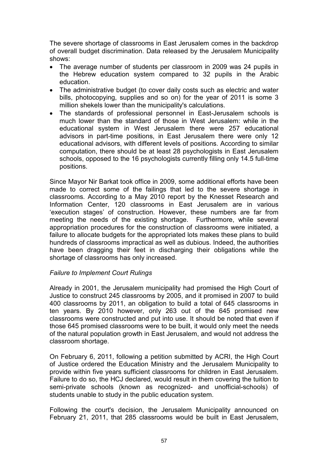The severe shortage of classrooms in East Jerusalem comes in the backdrop of overall budget discrimination. Data released by the Jerusalem Municipality shows:

- The average number of students per classroom in 2009 was 24 pupils in the Hebrew education system compared to 32 pupils in the Arabic education.
- The administrative budget (to cover daily costs such as electric and water bills, photocopying, supplies and so on) for the year of 2011 is some 3 million shekels lower than the municipality's calculations.
- The standards of professional personnel in East-Jerusalem schools is much lower than the standard of those in West Jerusalem: while in the educational system in West Jerusalem there were 257 educational advisors in part-time positions, in East Jerusalem there were only 12 educational advisors, with different levels of positions. According to similar computation, there should be at least 28 psychologists in East Jerusalem schools, opposed to the 16 psychologists currently filling only 14.5 full-time positions.

Since Mayor Nir Barkat took office in 2009, some additional efforts have been made to correct some of the failings that led to the severe shortage in classrooms. According to a May 2010 report by the Knesset Research and Information Center, 120 classrooms in East Jerusalem are in various 'execution stages' of construction. However, these numbers are far from meeting the needs of the existing shortage. Furthermore, while several appropriation procedures for the construction of classrooms were initiated, a failure to allocate budgets for the appropriated lots makes these plans to build hundreds of classrooms impractical as well as dubious. Indeed, the authorities have been dragging their feet in discharging their obligations while the shortage of classrooms has only increased.

# Failure to Implement Court Rulings

Already in 2001, the Jerusalem municipality had promised the High Court of Justice to construct 245 classrooms by 2005, and it promised in 2007 to build 400 classrooms by 2011, an obligation to build a total of 645 classrooms in ten years. By 2010 however, only 263 out of the 645 promised new classrooms were constructed and put into use. It should be noted that even if those 645 promised classrooms were to be built, it would only meet the needs of the natural population growth in East Jerusalem, and would not address the classroom shortage.

On February 6, 2011, following a petition submitted by ACRI, the High Court of Justice ordered the Education Ministry and the Jerusalem Municipality to provide within five years sufficient classrooms for children in East Jerusalem. Failure to do so, the HCJ declared, would result in them covering the tuition to semi-private schools (known as recognized- and unofficial-schools) of students unable to study in the public education system.

Following the court's decision, the Jerusalem Municipality announced on February 21, 2011, that 285 classrooms would be built in East Jerusalem,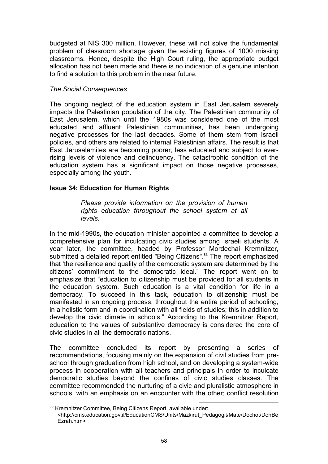budgeted at NIS 300 million. However, these will not solve the fundamental problem of classroom shortage given the existing figures of 1000 missing classrooms. Hence, despite the High Court ruling, the appropriate budget allocation has not been made and there is no indication of a genuine intention to find a solution to this problem in the near future.

# The Social Consequences

The ongoing neglect of the education system in East Jerusalem severely impacts the Palestinian population of the city. The Palestinian community of East Jerusalem, which until the 1980s was considered one of the most educated and affluent Palestinian communities, has been undergoing negative processes for the last decades. Some of them stem from Israeli policies, and others are related to internal Palestinian affairs. The result is that East Jerusalemites are becoming poorer, less educated and subject to everrising levels of violence and delinquency. The catastrophic condition of the education system has a significant impact on those negative processes, especially among the youth.

# Issue 34: Education for Human Rights

Please provide information on the provision of human rights education throughout the school system at all levels.

In the mid-1990s, the education minister appointed a committee to develop a comprehensive plan for inculcating civic studies among Israeli students. A year later, the committee, headed by Professor Mordechai Kremnitzer, submitted a detailed report entitled "Being Citizens".<sup>83</sup> The report emphasized that 'the resilience and quality of the democratic system are determined by the citizens' commitment to the democratic ideal." The report went on to emphasize that "education to citizenship must be provided for all students in the education system. Such education is a vital condition for life in a democracy. To succeed in this task, education to citizenship must be manifested in an ongoing process, throughout the entire period of schooling, in a holistic form and in coordination with all fields of studies; this in addition to develop the civic climate in schools." According to the Kremnitzer Report, education to the values of substantive democracy is considered the core of civic studies in all the democratic nations.

The committee concluded its report by presenting a series of recommendations, focusing mainly on the expansion of civil studies from preschool through graduation from high school, and on developing a system-wide process in cooperation with all teachers and principals in order to inculcate democratic studies beyond the confines of civic studies classes. The committee recommended the nurturing of a civic and pluralistic atmosphere in schools, with an emphasis on an encounter with the other; conflict resolution

l <sup>83</sup> Kremnitzer Committee, Being Citizens Report, available under: <http://cms.education.gov.il/EducationCMS/Units/Mazkirut\_Pedagogit/Mate/Dochot/DohBe Ezrah htm>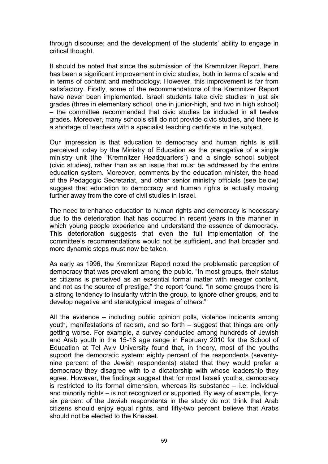through discourse; and the development of the students' ability to engage in critical thought.

It should be noted that since the submission of the Kremnitzer Report, there has been a significant improvement in civic studies, both in terms of scale and in terms of content and methodology. However, this improvement is far from satisfactory. Firstly, some of the recommendations of the Kremnitzer Report have never been implemented. Israeli students take civic studies in just six grades (three in elementary school, one in junior-high, and two in high school) – the committee recommended that civic studies be included in all twelve grades. Moreover, many schools still do not provide civic studies, and there is a shortage of teachers with a specialist teaching certificate in the subject.

Our impression is that education to democracy and human rights is still perceived today by the Ministry of Education as the prerogative of a single ministry unit (the "Kremnitzer Headquarters") and a single school subject (civic studies), rather than as an issue that must be addressed by the entire education system. Moreover, comments by the education minister, the head of the Pedagogic Secretariat, and other senior ministry officials (see below) suggest that education to democracy and human rights is actually moving further away from the core of civil studies in Israel.

The need to enhance education to human rights and democracy is necessary due to the deterioration that has occurred in recent years in the manner in which young people experience and understand the essence of democracy. This deterioration suggests that even the full implementation of the committee's recommendations would not be sufficient, and that broader and more dynamic steps must now be taken.

As early as 1996, the Kremnitzer Report noted the problematic perception of democracy that was prevalent among the public. "In most groups, their status as citizens is perceived as an essential formal matter with meager content, and not as the source of prestige," the report found. "In some groups there is a strong tendency to insularity within the group, to ignore other groups, and to develop negative and stereotypical images of others."

All the evidence – including public opinion polls, violence incidents among youth, manifestations of racism, and so forth – suggest that things are only getting worse. For example, a survey conducted among hundreds of Jewish and Arab youth in the 15-18 age range in February 2010 for the School of Education at Tel Aviv University found that, in theory, most of the youths support the democratic system: eighty percent of the respondents (seventynine percent of the Jewish respondents) stated that they would prefer a democracy they disagree with to a dictatorship with whose leadership they agree. However, the findings suggest that for most Israeli youths, democracy is restricted to its formal dimension, whereas its substance – i.e. individual and minority rights – is not recognized or supported. By way of example, fortysix percent of the Jewish respondents in the study do not think that Arab citizens should enjoy equal rights, and fifty-two percent believe that Arabs should not be elected to the Knesset.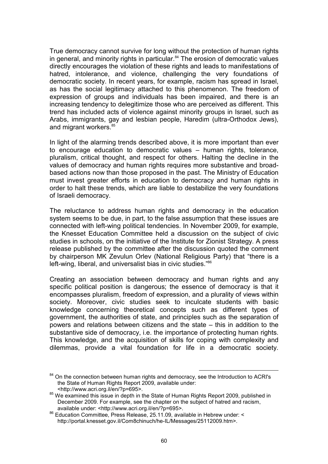True democracy cannot survive for long without the protection of human rights in general, and minority rights in particular.<sup>84</sup> The erosion of democratic values directly encourages the violation of these rights and leads to manifestations of hatred, intolerance, and violence, challenging the very foundations of democratic society. In recent years, for example, racism has spread in Israel, as has the social legitimacy attached to this phenomenon. The freedom of expression of groups and individuals has been impaired, and there is an increasing tendency to delegitimize those who are perceived as different. This trend has included acts of violence against minority groups in Israel, such as Arabs, immigrants, gay and lesbian people, Haredim (ultra-Orthodox Jews), and migrant workers.<sup>85</sup>

In light of the alarming trends described above, it is more important than ever to encourage education to democratic values – human rights, tolerance, pluralism, critical thought, and respect for others. Halting the decline in the values of democracy and human rights requires more substantive and broadbased actions now than those proposed in the past. The Ministry of Education must invest greater efforts in education to democracy and human rights in order to halt these trends, which are liable to destabilize the very foundations of Israeli democracy.

The reluctance to address human rights and democracy in the education system seems to be due, in part, to the false assumption that these issues are connected with left-wing political tendencies. In November 2009, for example, the Knesset Education Committee held a discussion on the subject of civic studies in schools, on the initiative of the Institute for Zionist Strategy. A press release published by the committee after the discussion quoted the comment by chairperson MK Zevulun Orlev (National Religious Party) that "there is a left-wing, liberal, and universalist bias in civic studies."86

Creating an association between democracy and human rights and any specific political position is dangerous; the essence of democracy is that it encompasses pluralism, freedom of expression, and a plurality of views within society. Moreover, civic studies seek to inculcate students with basic knowledge concerning theoretical concepts such as different types of government, the authorities of state, and principles such as the separation of powers and relations between citizens and the state – this in addition to the substantive side of democracy, i.e. the importance of protecting human rights. This knowledge, and the acquisition of skills for coping with complexity and dilemmas, provide a vital foundation for life in a democratic society.

 $\overline{a}$ <sup>84</sup> On the connection between human rights and democracy, see the Introduction to ACRI's the State of Human Rights Report 2009, available under:

<sup>&</sup>lt;http://www.acri.org.il/en/?p=695>.

<sup>&</sup>lt;sup>85</sup> We examined this issue in depth in the State of Human Rights Report 2009, published in December 2009. For example, see the chapter on the subject of hatred and racism, available under: <http://www.acri.org.il/en/?p=695>.

<sup>86</sup> Education Committee, Press Release, 25.11.09, available in Hebrew under: < http://portal.knesset.gov.il/Com8chinuch/he-IL/Messages/25112009.htm>.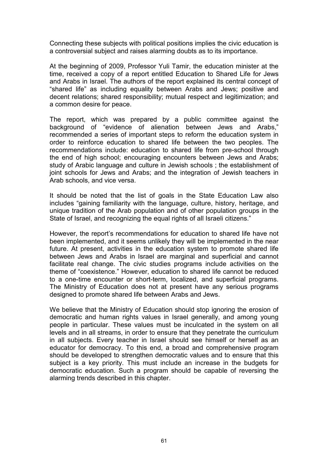Connecting these subjects with political positions implies the civic education is a controversial subject and raises alarming doubts as to its importance.

At the beginning of 2009, Professor Yuli Tamir, the education minister at the time, received a copy of a report entitled Education to Shared Life for Jews and Arabs in Israel. The authors of the report explained its central concept of "shared life" as including equality between Arabs and Jews; positive and decent relations; shared responsibility; mutual respect and legitimization; and a common desire for peace.

The report, which was prepared by a public committee against the background of "evidence of alienation between Jews and Arabs," recommended a series of important steps to reform the education system in order to reinforce education to shared life between the two peoples. The recommendations include: education to shared life from pre-school through the end of high school; encouraging encounters between Jews and Arabs; study of Arabic language and culture in Jewish schools ; the establishment of joint schools for Jews and Arabs; and the integration of Jewish teachers in Arab schools, and vice versa.

It should be noted that the list of goals in the State Education Law also includes "gaining familiarity with the language, culture, history, heritage, and unique tradition of the Arab population and of other population groups in the State of Israel, and recognizing the equal rights of all Israeli citizens."

However, the report's recommendations for education to shared life have not been implemented, and it seems unlikely they will be implemented in the near future. At present, activities in the education system to promote shared life between Jews and Arabs in Israel are marginal and superficial and cannot facilitate real change. The civic studies programs include activities on the theme of "coexistence." However, education to shared life cannot be reduced to a one-time encounter or short-term, localized, and superficial programs. The Ministry of Education does not at present have any serious programs designed to promote shared life between Arabs and Jews.

We believe that the Ministry of Education should stop ignoring the erosion of democratic and human rights values in Israel generally, and among young people in particular. These values must be inculcated in the system on all levels and in all streams, in order to ensure that they penetrate the curriculum in all subjects. Every teacher in Israel should see himself or herself as an educator for democracy. To this end, a broad and comprehensive program should be developed to strengthen democratic values and to ensure that this subject is a key priority. This must include an increase in the budgets for democratic education. Such a program should be capable of reversing the alarming trends described in this chapter.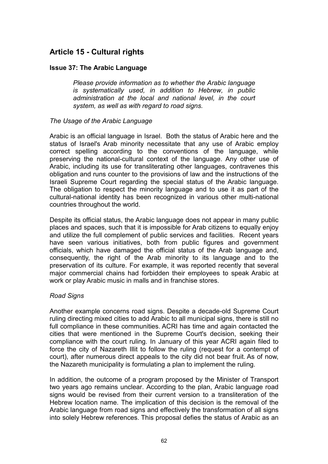# Article 15 - Cultural rights

# Issue 37: The Arabic Language

Please provide information as to whether the Arabic language is systematically used, in addition to Hebrew, in public administration at the local and national level, in the court system, as well as with regard to road signs.

# The Usage of the Arabic Language

Arabic is an official language in Israel. Both the status of Arabic here and the status of Israel's Arab minority necessitate that any use of Arabic employ correct spelling according to the conventions of the language, while preserving the national-cultural context of the language. Any other use of Arabic, including its use for transliterating other languages, contravenes this obligation and runs counter to the provisions of law and the instructions of the Israeli Supreme Court regarding the special status of the Arabic language. The obligation to respect the minority language and to use it as part of the cultural-national identity has been recognized in various other multi-national countries throughout the world.

Despite its official status, the Arabic language does not appear in many public places and spaces, such that it is impossible for Arab citizens to equally enjoy and utilize the full complement of public services and facilities. Recent years have seen various initiatives, both from public figures and government officials, which have damaged the official status of the Arab language and, consequently, the right of the Arab minority to its language and to the preservation of its culture. For example, it was reported recently that several major commercial chains had forbidden their employees to speak Arabic at work or play Arabic music in malls and in franchise stores.

# Road Signs

Another example concerns road signs. Despite a decade-old Supreme Court ruling directing mixed cities to add Arabic to all municipal signs, there is still no full compliance in these communities. ACRI has time and again contacted the cities that were mentioned in the Supreme Court's decision, seeking their compliance with the court ruling. In January of this year ACRI again filed to force the city of Nazareth Illit to follow the ruling (request for a contempt of court), after numerous direct appeals to the city did not bear fruit. As of now, the Nazareth municipality is formulating a plan to implement the ruling.

In addition, the outcome of a program proposed by the Minister of Transport two years ago remains unclear. According to the plan, Arabic language road signs would be revised from their current version to a transliteration of the Hebrew location name. The implication of this decision is the removal of the Arabic language from road signs and effectively the transformation of all signs into solely Hebrew references. This proposal defies the status of Arabic as an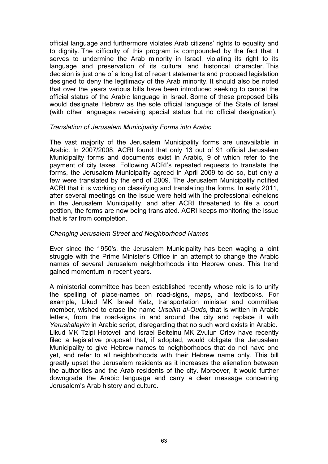official language and furthermore violates Arab citizens' rights to equality and to dignity. The difficulty of this program is compounded by the fact that it serves to undermine the Arab minority in Israel, violating its right to its language and preservation of its cultural and historical character. This decision is just one of a long list of recent statements and proposed legislation designed to deny the legitimacy of the Arab minority. It should also be noted that over the years various bills have been introduced seeking to cancel the official status of the Arabic language in Israel. Some of these proposed bills would designate Hebrew as the sole official language of the State of Israel (with other languages receiving special status but no official designation).

#### Translation of Jerusalem Municipality Forms into Arabic

The vast majority of the Jerusalem Municipality forms are unavailable in Arabic. In 2007/2008, ACRI found that only 13 out of 91 official Jerusalem Municipality forms and documents exist in Arabic, 9 of which refer to the payment of city taxes. Following ACRI's repeated requests to translate the forms, the Jerusalem Municipality agreed in April 2009 to do so, but only a few were translated by the end of 2009. The Jerusalem Municipality notified ACRI that it is working on classifying and translating the forms. In early 2011, after several meetings on the issue were held with the professional echelons in the Jerusalem Municipality, and after ACRI threatened to file a court petition, the forms are now being translated. ACRI keeps monitoring the issue that is far from completion.

### Changing Jerusalem Street and Neighborhood Names

Ever since the 1950's, the Jerusalem Municipality has been waging a joint struggle with the Prime Minister's Office in an attempt to change the Arabic names of several Jerusalem neighborhoods into Hebrew ones. This trend gained momentum in recent years.

A ministerial committee has been established recently whose role is to unify the spelling of place-names on road-signs, maps, and textbooks. For example, Likud MK Israel Katz, transportation minister and committee member, wished to erase the name Ursalim al-Quds, that is written in Arabic letters, from the road-signs in and around the city and replace it with Yerushalayim in Arabic script, disregarding that no such word exists in Arabic. Likud MK Tzipi Hotoveli and Israel Beiteinu MK Zvulun Orlev have recently filed a legislative proposal that, if adopted, would obligate the Jerusalem Municipality to give Hebrew names to neighborhoods that do not have one yet, and refer to all neighborhoods with their Hebrew name only. This bill greatly upset the Jerusalem residents as it increases the alienation between the authorities and the Arab residents of the city. Moreover, it would further downgrade the Arabic language and carry a clear message concerning Jerusalem's Arab history and culture.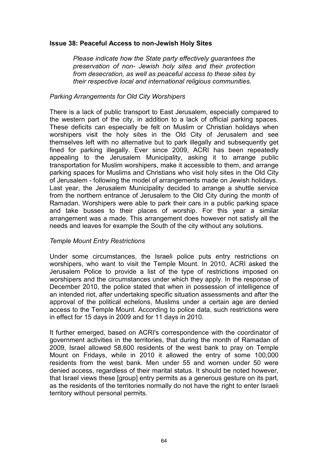# Issue 38: Peaceful Access to non-Jewish Holy Sites

Please indicate how the State party effectively guarantees the preservation of non- Jewish holy sites and their protection from desecration, as well as peaceful access to these sites by their respective local and international religious communities.

#### Parking Arrangements for Old City Worshipers

There is a lack of public transport to East Jerusalem, especially compared to the western part of the city, in addition to a lack of official parking spaces. These deficits can especially be felt on Muslim or Christian holidays when worshipers visit the holy sites in the Old City of Jerusalem and see themselves left with no alternative but to park illegally and subsequently get fined for parking illegally. Ever since 2009, ACRI has been repeatedly appealing to the Jerusalem Municipality, asking it to arrange public transportation for Muslim worshipers, make it accessible to them, and arrange parking spaces for Muslims and Christians who visit holy sites in the Old City of Jerusalem - following the model of arrangements made on Jewish holidays. Last year, the Jerusalem Municipality decided to arrange a shuttle service from the northern entrance of Jerusalem to the Old City during the month of Ramadan. Worshipers were able to park their cars in a public parking space and take busses to their places of worship. For this year a similar arrangement was a made. This arrangement does however not satisfy all the needs and leaves for example the South of the city without any solutions.

# Temple Mount Entry Restrictions

Under some circumstances, the Israeli police puts entry restrictions on worshipers, who want to visit the Temple Mount. In 2010, ACRI asked the Jerusalem Police to provide a list of the type of restrictions imposed on worshipers and the circumstances under which they apply. In the response of December 2010, the police stated that when in possession of intelligence of an intended riot, after undertaking specific situation assessments and after the approval of the political echelons, Muslims under a certain age are denied access to the Temple Mount. According to police data, such restrictions were in effect for 15 days in 2009 and for 11 days in 2010.

It further emerged, based on ACRI's correspondence with the coordinator of government activities in the territories, that during the month of Ramadan of 2009, Israel allowed 58,600 residents of the west bank to pray on Temple Mount on Fridays, while in 2010 it allowed the entry of some 100,000 residents from the west bank. Men under 55 and women under 50 were denied access, regardless of their marital status. It should be noted however, that Israel views these [group] entry permits as a generous gesture on its part, as the residents of the territories normally do not have the right to enter Israeli territory without personal permits.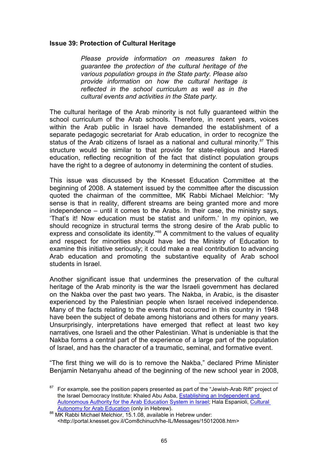#### Issue 39: Protection of Cultural Heritage

Please provide information on measures taken to guarantee the protection of the cultural heritage of the various population groups in the State party. Please also provide information on how the cultural heritage is reflected in the school curriculum as well as in the cultural events and activities in the State party.

The cultural heritage of the Arab minority is not fully guaranteed within the school curriculum of the Arab schools. Therefore, in recent years, voices within the Arab public in Israel have demanded the establishment of a separate pedagogic secretariat for Arab education, in order to recognize the status of the Arab citizens of Israel as a national and cultural minority.<sup>87</sup> This structure would be similar to that provide for state-religious and Haredi education, reflecting recognition of the fact that distinct population groups have the right to a degree of autonomy in determining the content of studies.

This issue was discussed by the Knesset Education Committee at the beginning of 2008. A statement issued by the committee after the discussion quoted the chairman of the committee, MK Rabbi Michael Melchior: "My sense is that in reality, different streams are being granted more and more independence – until it comes to the Arabs. In their case, the ministry says, 'That's it! Now education must be statist and uniform.' In my opinion, we should recognize in structural terms the strong desire of the Arab public to express and consolidate its identity."<sup>88</sup> A commitment to the values of equality and respect for minorities should have led the Ministry of Education to examine this initiative seriously; it could make a real contribution to advancing Arab education and promoting the substantive equality of Arab school students in Israel.

Another significant issue that undermines the preservation of the cultural heritage of the Arab minority is the war the Israeli government has declared on the Nakba over the past two years. The Nakba, in Arabic, is the disaster experienced by the Palestinian people when Israel received independence. Many of the facts relating to the events that occurred in this country in 1948 have been the subject of debate among historians and others for many years. Unsurprisingly, interpretations have emerged that reflect at least two key narratives, one Israeli and the other Palestinian. What is undeniable is that the Nakba forms a central part of the experience of a large part of the population of Israel, and has the character of a traumatic, seminal, and formative event.

"The first thing we will do is to remove the Nakba," declared Prime Minister Benjamin Netanyahu ahead of the beginning of the new school year in 2008,

 $\overline{a}$  $87$  For example, see the position papers presented as part of the "Jewish-Arab Rift" project of the Israel Democracy Institute: Khaled Abu Asba, Establishing an Independent and Autonomous Authority for the Arab Education System in Israel; Hala Espanioli, Cultural Autonomy for Arab Education (only in Hebrew).

<sup>88</sup> MK Rabbi Michael Melchior, 15.1.08, available in Hebrew under: <http://portal.knesset.gov.il/Com8chinuch/he-IL/Messages/15012008.htm>